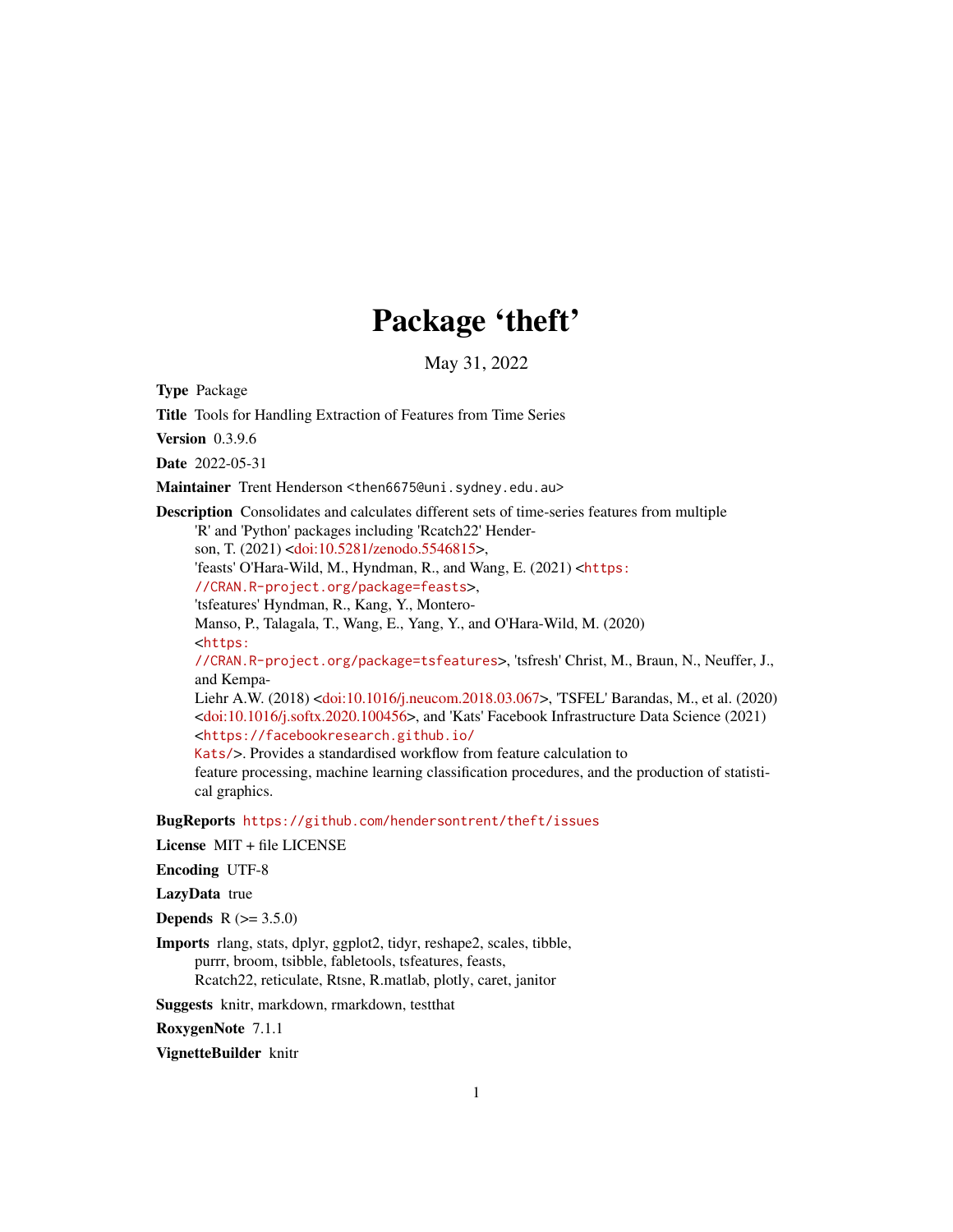# Package 'theft'

May 31, 2022

Type Package

Title Tools for Handling Extraction of Features from Time Series

Version 0.3.9.6

Date 2022-05-31

Maintainer Trent Henderson <then6675@uni.sydney.edu.au>

Description Consolidates and calculates different sets of time-series features from multiple 'R' and 'Python' packages including 'Rcatch22' Hender-

son, T. (2021) [<doi:10.5281/zenodo.5546815>](https://doi.org/10.5281/zenodo.5546815),

'feasts' O'Hara-Wild, M., Hyndman, R., and Wang, E. (2021) <[https:](https://CRAN.R-project.org/package=feasts)

[//CRAN.R-project.org/package=feasts](https://CRAN.R-project.org/package=feasts)>,

'tsfeatures' Hyndman, R., Kang, Y., Montero-

Manso, P., Talagala, T., Wang, E., Yang, Y., and O'Hara-Wild, M. (2020)

<[https:](https://CRAN.R-project.org/package=tsfeatures)

[//CRAN.R-project.org/package=tsfeatures](https://CRAN.R-project.org/package=tsfeatures)>, 'tsfresh' Christ, M., Braun, N., Neuffer, J., and Kempa-

Liehr A.W. (2018) [<doi:10.1016/j.neucom.2018.03.067>](https://doi.org/10.1016/j.neucom.2018.03.067), 'TSFEL' Barandas, M., et al. (2020) [<doi:10.1016/j.softx.2020.100456>](https://doi.org/10.1016/j.softx.2020.100456), and 'Kats' Facebook Infrastructure Data Science (2021) <[https://facebookresearch.github.io/](https://facebookresearch.github.io/Kats/) [Kats/](https://facebookresearch.github.io/Kats/)>. Provides a standardised workflow from feature calculation to

feature processing, machine learning classification procedures, and the production of statistical graphics.

BugReports <https://github.com/hendersontrent/theft/issues>

License MIT + file LICENSE

Encoding UTF-8

LazyData true

**Depends** R  $(>= 3.5.0)$ 

Imports rlang, stats, dplyr, ggplot2, tidyr, reshape2, scales, tibble, purrr, broom, tsibble, fabletools, tsfeatures, feasts, Rcatch22, reticulate, Rtsne, R.matlab, plotly, caret, janitor

Suggests knitr, markdown, rmarkdown, testthat

RoxygenNote 7.1.1

VignetteBuilder knitr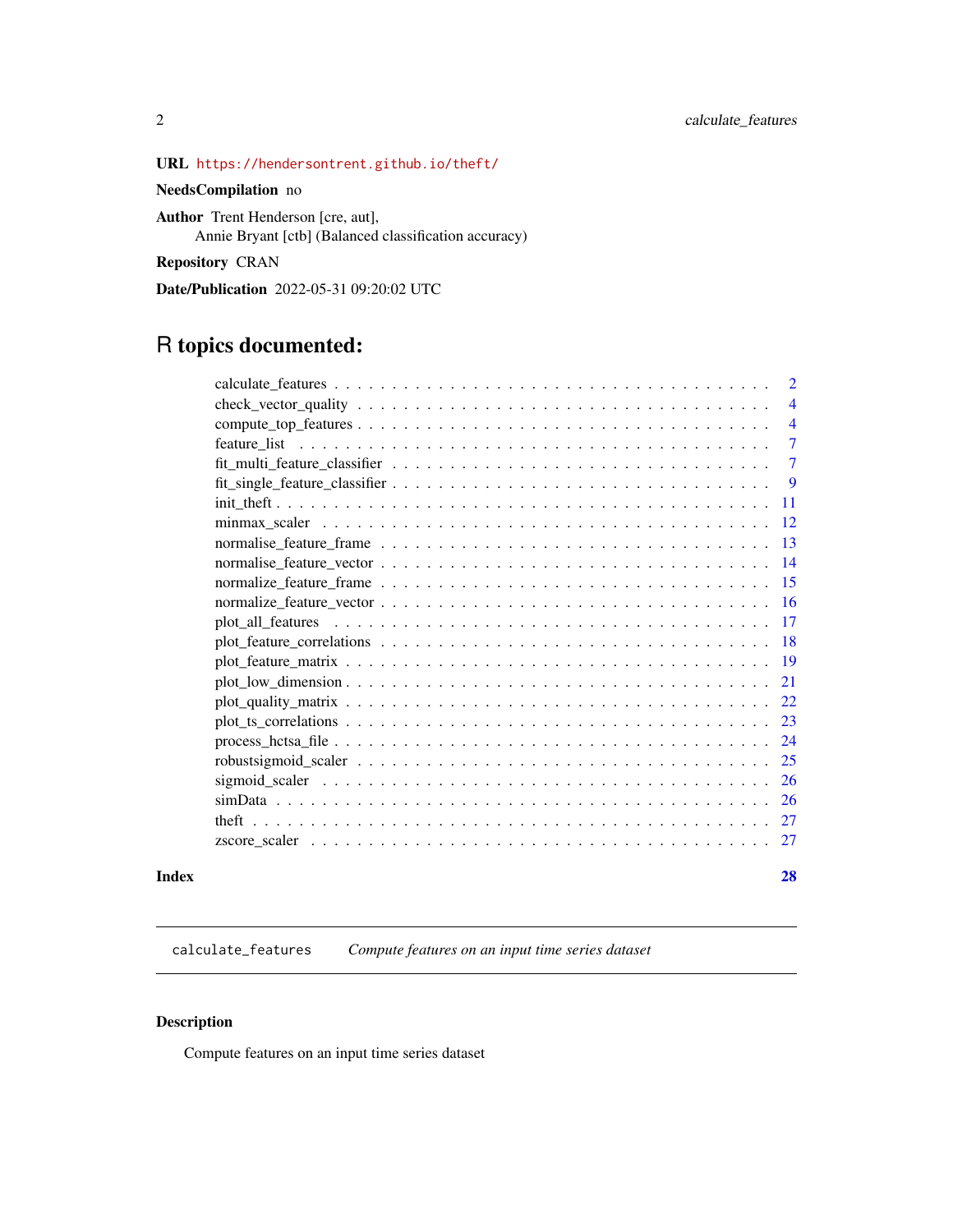# <span id="page-1-0"></span>URL <https://hendersontrent.github.io/theft/>

NeedsCompilation no

Author Trent Henderson [cre, aut], Annie Bryant [ctb] (Balanced classification accuracy)

Repository CRAN

Date/Publication 2022-05-31 09:20:02 UTC

# R topics documented:

|     | $\overline{2}$ |
|-----|----------------|
|     | $\overline{4}$ |
|     | $\overline{4}$ |
|     | $\tau$         |
|     | $\tau$         |
|     | <b>9</b>       |
| 11  |                |
| 12  |                |
| -13 |                |
| 14  |                |
| 15  |                |
| -16 |                |
| -17 |                |
|     |                |
| -19 |                |
| 21  |                |
| 22  |                |
| 23  |                |
| 24  |                |
| 25  |                |
| -26 |                |
| 26  |                |
| 27  |                |
| 27  |                |
|     |                |

# **Index** [28](#page-27-0) and 2012, the contract of the contract of the contract of the contract of the contract of the contract of the contract of the contract of the contract of the contract of the contract of the contract of the contr

calculate\_features *Compute features on an input time series dataset*

# Description

Compute features on an input time series dataset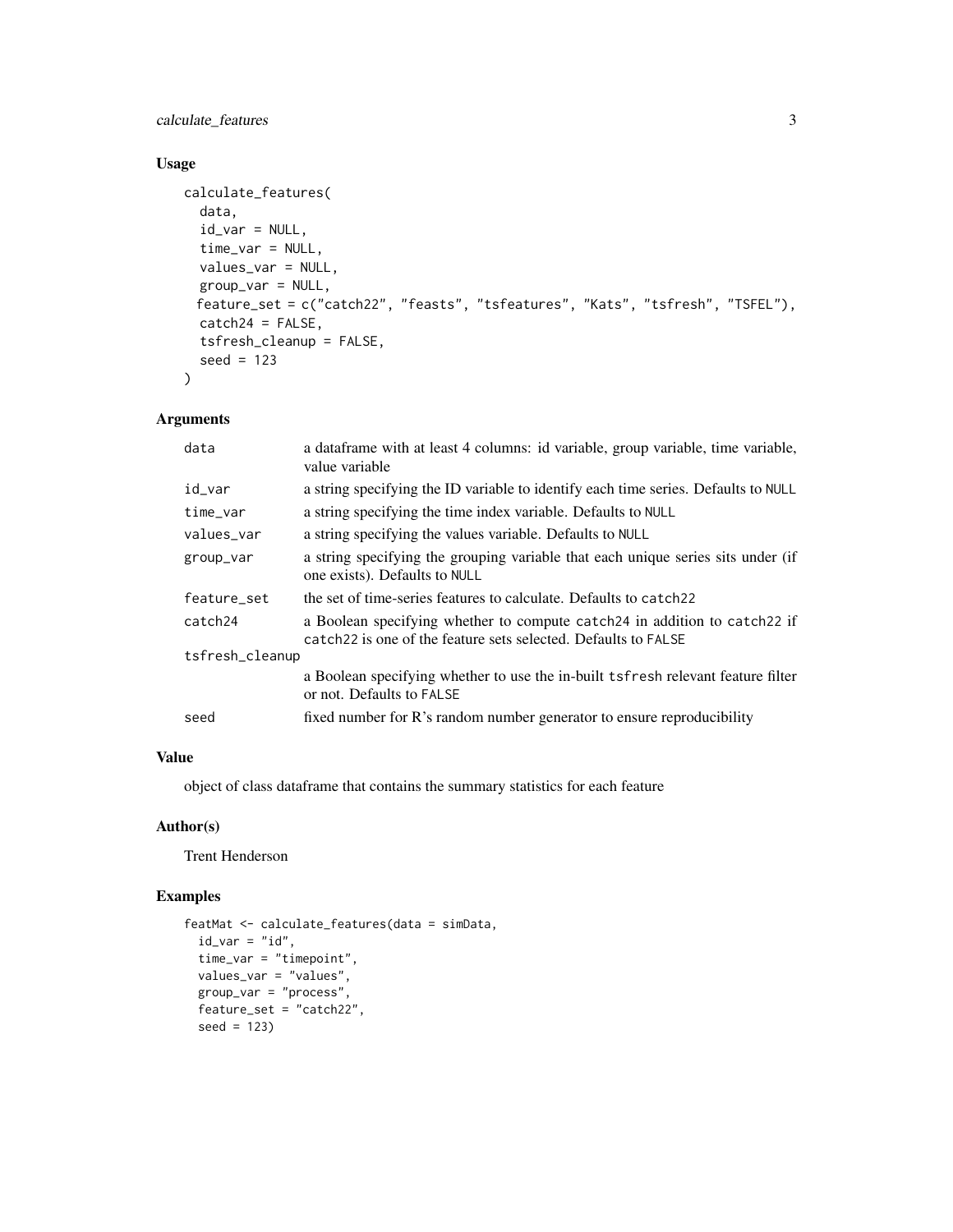calculate\_features 3

# Usage

```
calculate_features(
  data,
  id_var = NULL,
  time_var = NULL,
  values_var = NULL,
  group_var = NULL,
 feature_set = c("catch22", "feasts", "tsfeatures", "Kats", "tsfresh", "TSFEL"),
  catch24 = FALSE,tsfresh_cleanup = FALSE,
  seed = 123
\mathcal{L}
```
# Arguments

| data            | a data frame with at least 4 columns: id variable, group variable, time variable,<br>value variable                                           |  |
|-----------------|-----------------------------------------------------------------------------------------------------------------------------------------------|--|
| id_var          | a string specifying the ID variable to identify each time series. Defaults to NULL                                                            |  |
| time_var        | a string specifying the time index variable. Defaults to NULL                                                                                 |  |
| values_var      | a string specifying the values variable. Defaults to NULL                                                                                     |  |
| group_var       | a string specifying the grouping variable that each unique series sits under (if<br>one exists). Defaults to NULL                             |  |
| feature set     | the set of time-series features to calculate. Defaults to catch22                                                                             |  |
| catch24         | a Boolean specifying whether to compute catch 24 in addition to catch 22 if<br>catch22 is one of the feature sets selected. Defaults to FALSE |  |
| tsfresh_cleanup |                                                                                                                                               |  |
|                 | a Boolean specifying whether to use the in-built tsfresh relevant feature filter<br>or not. Defaults to FALSE                                 |  |
| seed            | fixed number for R's random number generator to ensure reproducibility                                                                        |  |

# Value

object of class dataframe that contains the summary statistics for each feature

# Author(s)

Trent Henderson

```
featMat <- calculate_features(data = simData,
  id\_var = "id",time_var = "timepoint",
  values_var = "values",
  group_var = "process",
  feature_set = "catch22",
  seed = 123)
```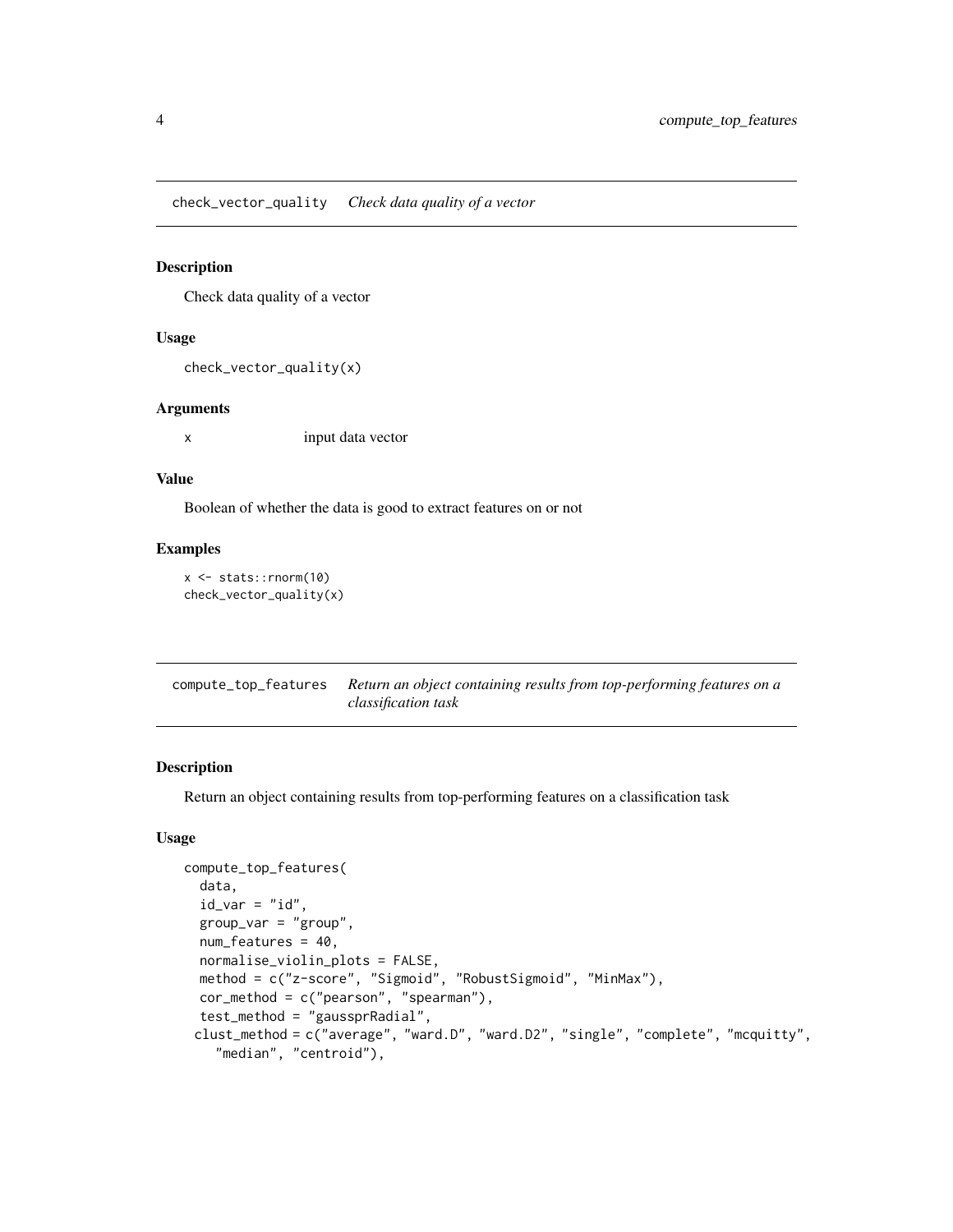<span id="page-3-0"></span>check\_vector\_quality *Check data quality of a vector*

#### Description

Check data quality of a vector

#### Usage

```
check_vector_quality(x)
```
# Arguments

x input data vector

# Value

Boolean of whether the data is good to extract features on or not

#### Examples

x <- stats::rnorm(10) check\_vector\_quality(x)

| compute_top_features | Return an object containing results from top-performing features on a |
|----------------------|-----------------------------------------------------------------------|
|                      | <i>classification task</i>                                            |

# Description

Return an object containing results from top-performing features on a classification task

# Usage

```
compute_top_features(
  data,
  id_var = "id",
  group\_var = "group",num_features = 40,
  normalise_violin_plots = FALSE,
 method = c("z-score", "Sigmoid", "RobustSigmoid", "MinMax"),
  cor_method = c("pearson", "spearman"),
  test_method = "gaussprRadial",
 clust_method = c("average", "ward.D", "ward.D2", "single", "complete", "mcquitty",
    "median", "centroid"),
```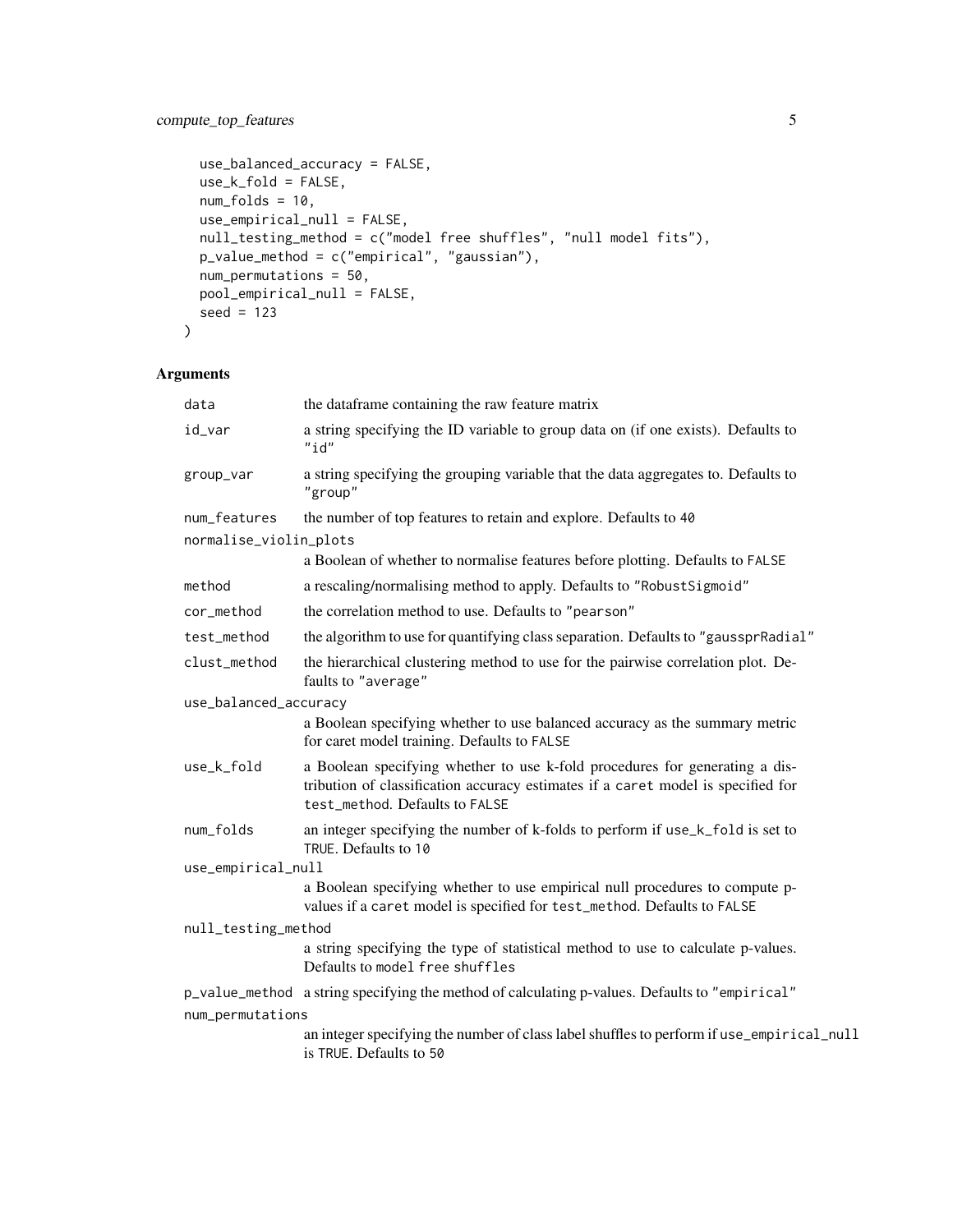# compute\_top\_features 5

```
use_balanced_accuracy = FALSE,
use_k_fold = FALSE,
num_folds = 10,
use_empirical_null = FALSE,
null_testing_method = c("model free shuffles", "null model fits"),
p_value_method = c("empirical", "gaussian"),
num_permutations = 50,
pool_empirical_null = FALSE,
seed = 123
```
# Arguments

 $\mathcal{L}$ 

| data                   | the dataframe containing the raw feature matrix                                                                                                                                                   |
|------------------------|---------------------------------------------------------------------------------------------------------------------------------------------------------------------------------------------------|
| id_var                 | a string specifying the ID variable to group data on (if one exists). Defaults to<br>"id"                                                                                                         |
| group_var              | a string specifying the grouping variable that the data aggregates to. Defaults to<br>"group"                                                                                                     |
| num_features           | the number of top features to retain and explore. Defaults to 40                                                                                                                                  |
| normalise_violin_plots |                                                                                                                                                                                                   |
|                        | a Boolean of whether to normalise features before plotting. Defaults to FALSE                                                                                                                     |
| method                 | a rescaling/normalising method to apply. Defaults to "RobustSigmoid"                                                                                                                              |
| cor_method             | the correlation method to use. Defaults to "pearson"                                                                                                                                              |
| test_method            | the algorithm to use for quantifying class separation. Defaults to "gaussprRadial"                                                                                                                |
| clust_method           | the hierarchical clustering method to use for the pairwise correlation plot. De-<br>faults to "average"                                                                                           |
| use_balanced_accuracy  |                                                                                                                                                                                                   |
|                        | a Boolean specifying whether to use balanced accuracy as the summary metric<br>for caret model training. Defaults to FALSE                                                                        |
| use_k_fold             | a Boolean specifying whether to use k-fold procedures for generating a dis-<br>tribution of classification accuracy estimates if a caret model is specified for<br>test_method. Defaults to FALSE |
| num_folds              | an integer specifying the number of k-folds to perform if use_k_fold is set to<br>TRUE. Defaults to 10                                                                                            |
| use_empirical_null     |                                                                                                                                                                                                   |
|                        | a Boolean specifying whether to use empirical null procedures to compute p-<br>values if a caret model is specified for test_method. Defaults to FALSE                                            |
| null_testing_method    |                                                                                                                                                                                                   |
|                        | a string specifying the type of statistical method to use to calculate p-values.<br>Defaults to model free shuffles                                                                               |
|                        | p_value_method a string specifying the method of calculating p-values. Defaults to "empirical"                                                                                                    |
| num_permutations       |                                                                                                                                                                                                   |
|                        | an integer specifying the number of class label shuffles to perform if use_empirical_null<br>is TRUE. Defaults to 50                                                                              |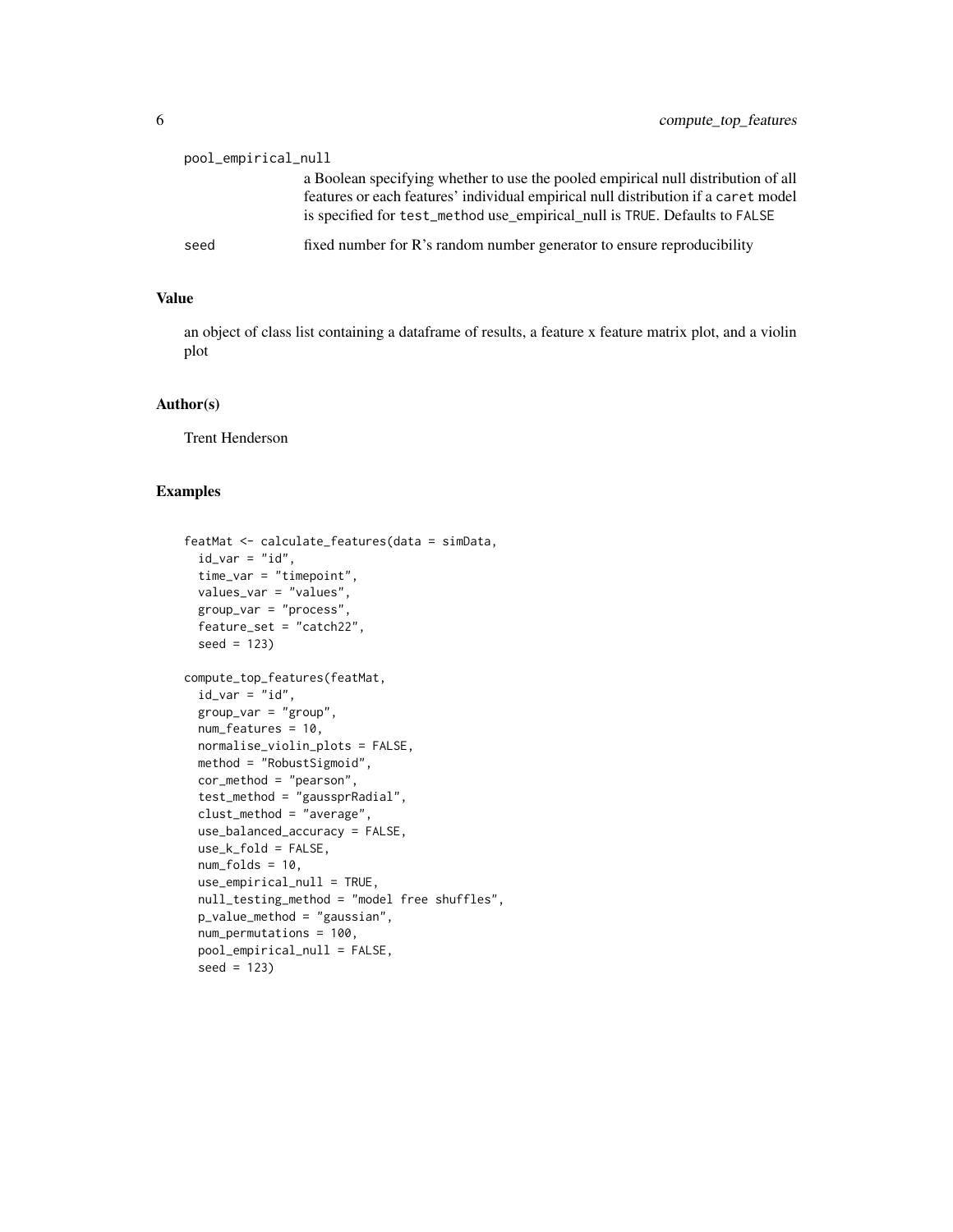| pool_empirical_null |                                                                                                                                                                                                                                                       |  |
|---------------------|-------------------------------------------------------------------------------------------------------------------------------------------------------------------------------------------------------------------------------------------------------|--|
|                     | a Boolean specifying whether to use the pooled empirical null distribution of all<br>features or each features' individual empirical null distribution if a caret model<br>is specified for test_method use_empirical_null is TRUE. Defaults to FALSE |  |
| seed                | fixed number for R's random number generator to ensure reproducibility                                                                                                                                                                                |  |

an object of class list containing a dataframe of results, a feature x feature matrix plot, and a violin plot

#### Author(s)

Trent Henderson

```
featMat <- calculate_features(data = simData,
 id\_var = "id",time_var = "timepoint",
 values_var = "values",
 group_var = "process",
 feature_set = "catch22",
 seed = 123compute_top_features(featMat,
 id\_var = "id",group_var = "group",
 num_features = 10,
 normalise_violin_plots = FALSE,
 method = "RobustSigmoid",
 cor_method = "pearson",
 test_method = "gaussprRadial",
 clust_method = "average",
 use_balanced_accuracy = FALSE,
 use_k_fold = FALSE,
 num_folds = 10,
 use_empirical_null = TRUE,
 null_testing_method = "model free shuffles",
 p_value_method = "gaussian",
 num_permutations = 100,
 pool_empirical_null = FALSE,
 seed = 123
```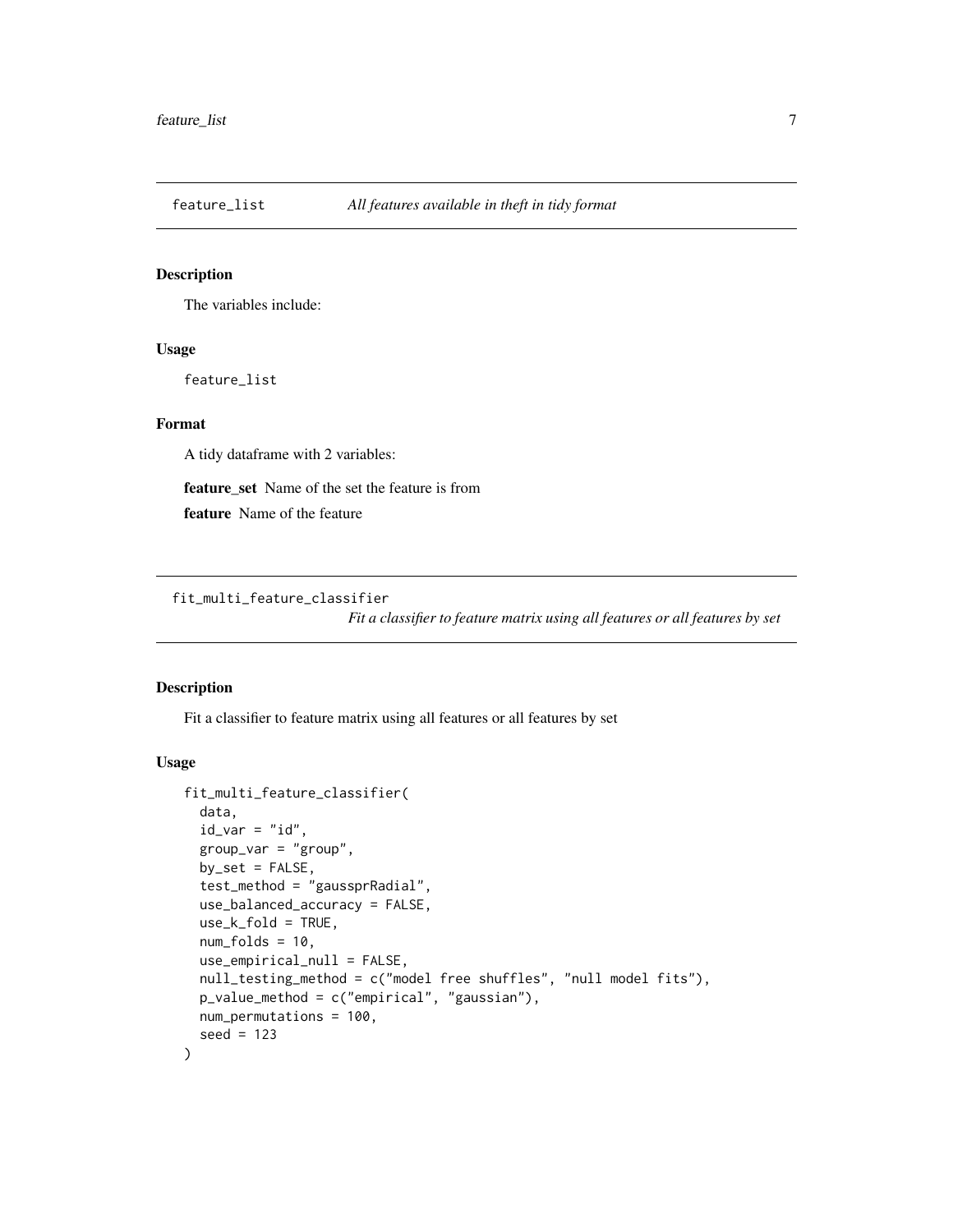<span id="page-6-0"></span>

# Description

The variables include:

#### Usage

feature\_list

# Format

A tidy dataframe with 2 variables:

feature\_set Name of the set the feature is from

feature Name of the feature

fit\_multi\_feature\_classifier

*Fit a classifier to feature matrix using all features or all features by set*

#### Description

Fit a classifier to feature matrix using all features or all features by set

#### Usage

```
fit_multi_feature_classifier(
  data,
  id\_var = "id",group\_var = "group",by_set = FALSE,test_method = "gaussprRadial",
  use_balanced_accuracy = FALSE,
 use_k_fold = TRUE,
  num_folds = 10,
  use_empirical_null = FALSE,
  null_testing_method = c("model free shuffles", "null model fits"),
 p_value_method = c("empirical", "gaussian"),
 num_permutations = 100,
  seed = 123
)
```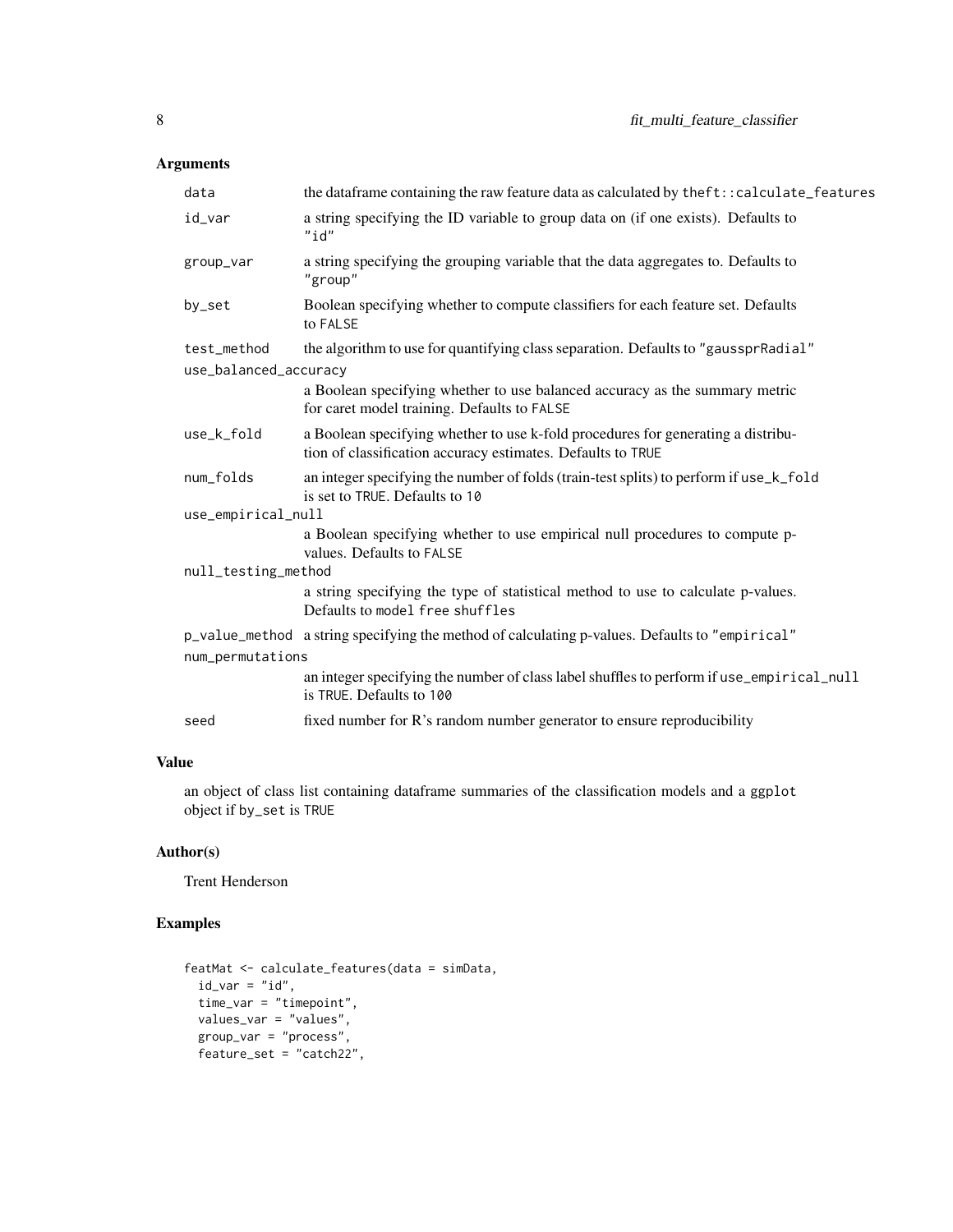# Arguments

| the dataframe containing the raw feature data as calculated by theft: : calculate_features                                                      |  |  |
|-------------------------------------------------------------------------------------------------------------------------------------------------|--|--|
| a string specifying the ID variable to group data on (if one exists). Defaults to<br>"id"                                                       |  |  |
| a string specifying the grouping variable that the data aggregates to. Defaults to<br>"group"                                                   |  |  |
| Boolean specifying whether to compute classifiers for each feature set. Defaults<br>to FALSE                                                    |  |  |
| the algorithm to use for quantifying class separation. Defaults to "gaussprRadial"                                                              |  |  |
| use_balanced_accuracy                                                                                                                           |  |  |
| a Boolean specifying whether to use balanced accuracy as the summary metric<br>for caret model training. Defaults to FALSE                      |  |  |
| a Boolean specifying whether to use k-fold procedures for generating a distribu-<br>tion of classification accuracy estimates. Defaults to TRUE |  |  |
| an integer specifying the number of folds (train-test splits) to perform if use_k_fold<br>is set to TRUE. Defaults to 10                        |  |  |
| use_empirical_null                                                                                                                              |  |  |
| a Boolean specifying whether to use empirical null procedures to compute p-<br>values. Defaults to FALSE                                        |  |  |
| null_testing_method                                                                                                                             |  |  |
| a string specifying the type of statistical method to use to calculate p-values.<br>Defaults to model free shuffles                             |  |  |
| p_value_method a string specifying the method of calculating p-values. Defaults to "empirical"                                                  |  |  |
| num_permutations                                                                                                                                |  |  |
| an integer specifying the number of class label shuffles to perform if use_empirical_null<br>is TRUE. Defaults to 100                           |  |  |
| fixed number for R's random number generator to ensure reproducibility                                                                          |  |  |
|                                                                                                                                                 |  |  |

# Value

an object of class list containing dataframe summaries of the classification models and a ggplot object if by\_set is TRUE

# Author(s)

Trent Henderson

```
featMat <- calculate_features(data = simData,
 id\_var = "id",time_var = "timepoint",
 values_var = "values",
 group_var = "process",
  feature_set = "catch22",
```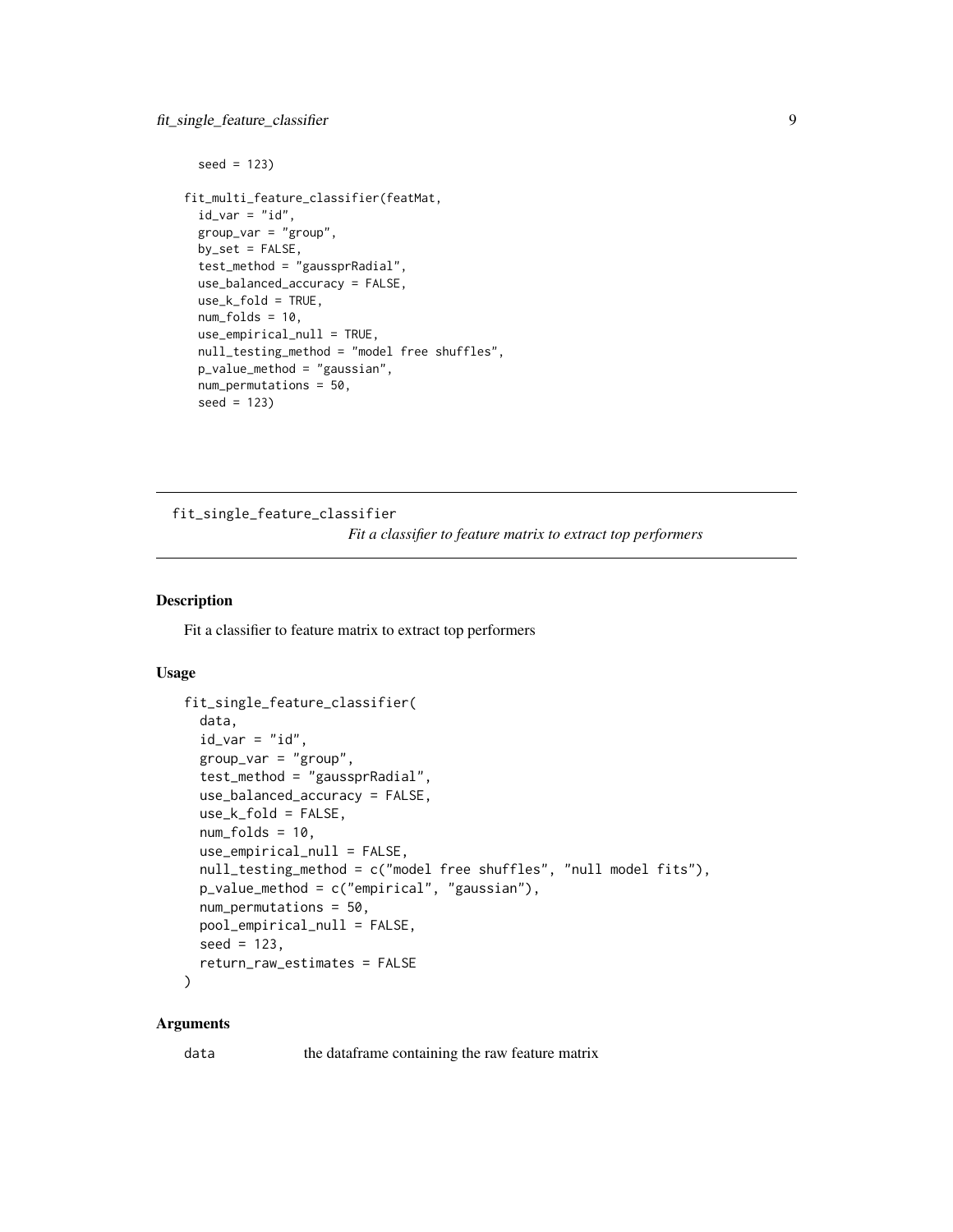```
seed = 123)
fit_multi_feature_classifier(featMat,
 id\_var = "id",group\_var = "group",by_set = FALSE,
 test_method = "gaussprRadial",
 use_balanced_accuracy = FALSE,
 use_k_fold = TRUE,
 num_folds = 10,
 use_empirical_null = TRUE,
 null_testing_method = "model free shuffles",
 p_value_method = "gaussian",
 num_permutations = 50,
 seed = 123)
```
fit\_single\_feature\_classifier *Fit a classifier to feature matrix to extract top performers*

# Description

Fit a classifier to feature matrix to extract top performers

#### Usage

```
fit_single_feature_classifier(
  data,
  id\_var = "id",group\_var = "group",test_method = "gaussprRadial",
  use_balanced_accuracy = FALSE,
  use_k_fold = FALSE,
  num_folds = 10,
  use_empirical_null = FALSE,
  null_testing_method = c("model free shuffles", "null model fits"),
 p_value_method = c("empirical", "gaussian"),
  num_permutations = 50,
 pool_empirical_null = FALSE,
  seed = 123,
  return_raw_estimates = FALSE
)
```
#### Arguments

data the dataframe containing the raw feature matrix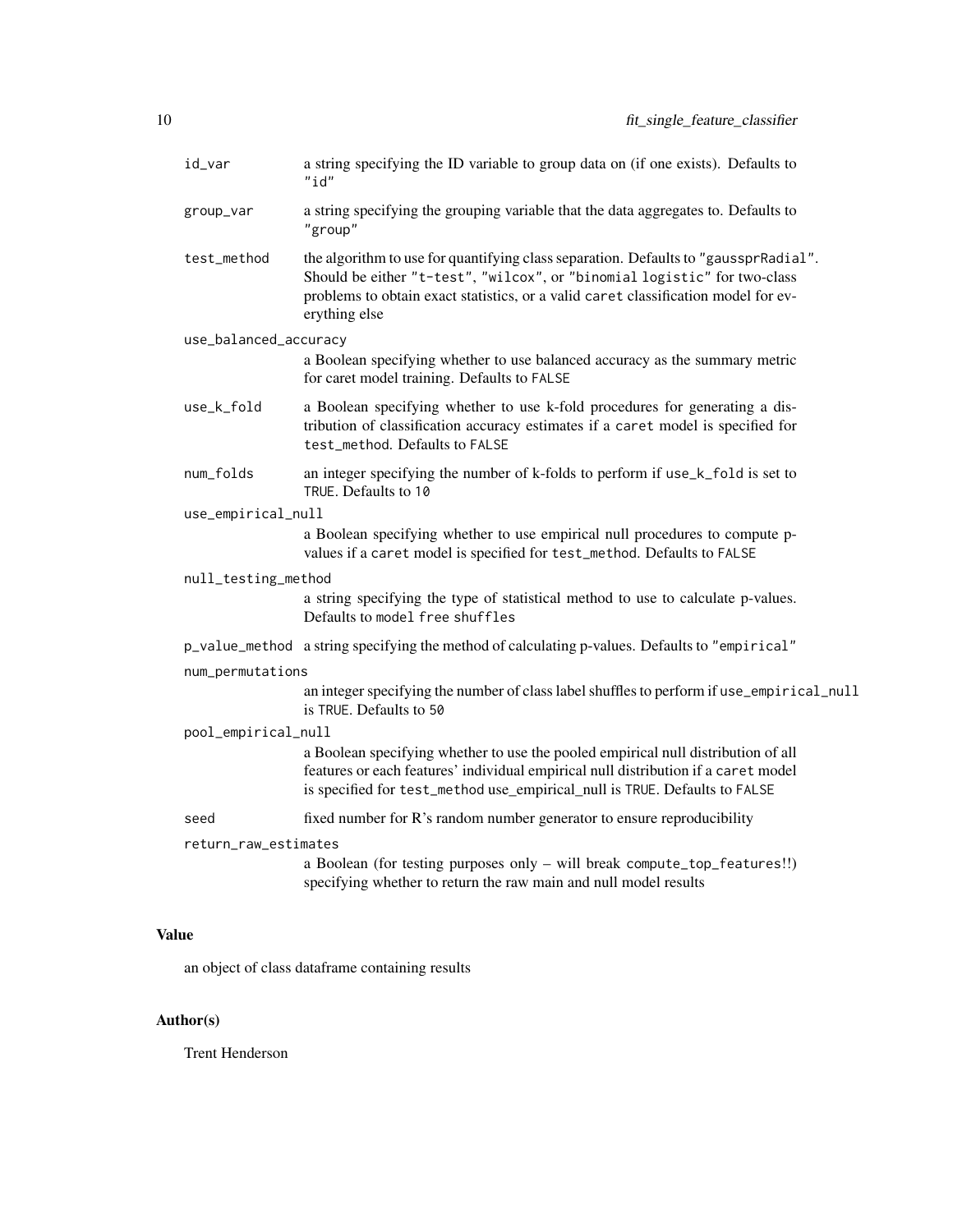| id_var                | a string specifying the ID variable to group data on (if one exists). Defaults to<br>"id"                                                                                                                                                                               |
|-----------------------|-------------------------------------------------------------------------------------------------------------------------------------------------------------------------------------------------------------------------------------------------------------------------|
| group_var             | a string specifying the grouping variable that the data aggregates to. Defaults to<br>"group"                                                                                                                                                                           |
| test_method           | the algorithm to use for quantifying class separation. Defaults to "gaussprRadial".<br>Should be either "t-test", "wilcox", or "binomial logistic" for two-class<br>problems to obtain exact statistics, or a valid caret classification model for ev-<br>erything else |
| use_balanced_accuracy |                                                                                                                                                                                                                                                                         |
|                       | a Boolean specifying whether to use balanced accuracy as the summary metric<br>for caret model training. Defaults to FALSE                                                                                                                                              |
| use_k_fold            | a Boolean specifying whether to use k-fold procedures for generating a dis-<br>tribution of classification accuracy estimates if a caret model is specified for<br>test_method. Defaults to FALSE                                                                       |
| num_folds             | an integer specifying the number of k-folds to perform if use_k_fold is set to<br>TRUE. Defaults to 10                                                                                                                                                                  |
| use_empirical_null    |                                                                                                                                                                                                                                                                         |
|                       | a Boolean specifying whether to use empirical null procedures to compute p-<br>values if a caret model is specified for test_method. Defaults to FALSE                                                                                                                  |
| null_testing_method   |                                                                                                                                                                                                                                                                         |
|                       | a string specifying the type of statistical method to use to calculate p-values.<br>Defaults to model free shuffles                                                                                                                                                     |
|                       | p_value_method a string specifying the method of calculating p-values. Defaults to "empirical"                                                                                                                                                                          |
| num_permutations      |                                                                                                                                                                                                                                                                         |
|                       | an integer specifying the number of class label shuffles to perform if use_empirical_null<br>is TRUE. Defaults to 50                                                                                                                                                    |
| pool_empirical_null   |                                                                                                                                                                                                                                                                         |
|                       | a Boolean specifying whether to use the pooled empirical null distribution of all<br>features or each features' individual empirical null distribution if a caret model<br>is specified for test_method use_empirical_null is TRUE. Defaults to FALSE                   |
| seed                  | fixed number for R's random number generator to ensure reproducibility                                                                                                                                                                                                  |
| return_raw_estimates  |                                                                                                                                                                                                                                                                         |
|                       | a Boolean (for testing purposes only - will break compute_top_features!!)<br>specifying whether to return the raw main and null model results                                                                                                                           |
|                       |                                                                                                                                                                                                                                                                         |

an object of class dataframe containing results

# Author(s)

Trent Henderson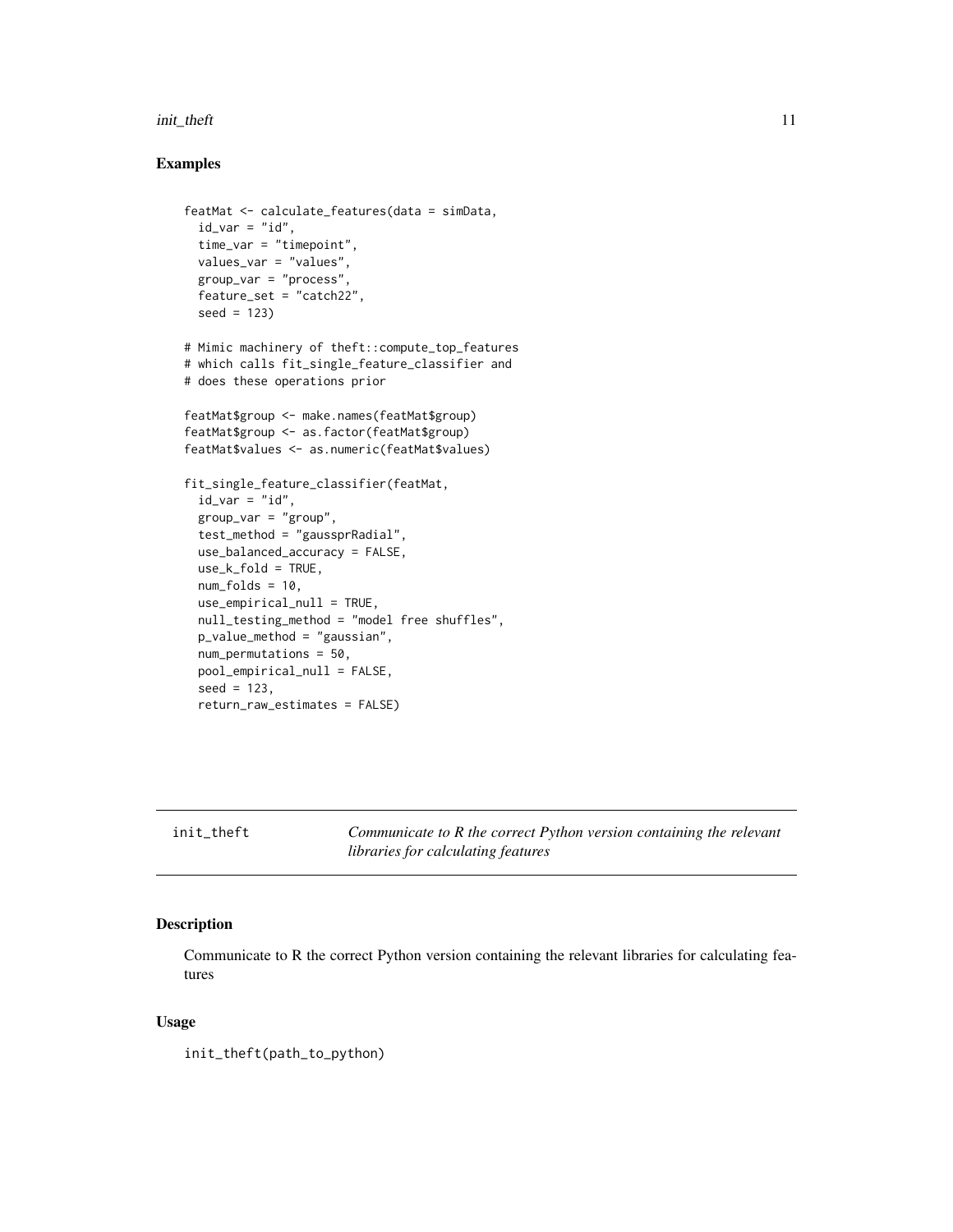#### <span id="page-10-0"></span>init\_theft 11

#### Examples

```
featMat <- calculate_features(data = simData,
 id\_var = "id",time_var = "timepoint",
 values_var = "values",
 group_var = "process",
 feature_set = "catch22",
 seed = 123# Mimic machinery of theft::compute_top_features
# which calls fit_single_feature_classifier and
# does these operations prior
featMat$group <- make.names(featMat$group)
featMat$group <- as.factor(featMat$group)
featMat$values <- as.numeric(featMat$values)
fit_single_feature_classifier(featMat,
 id_{var} = "id",group_var = "group",
 test_method = "gaussprRadial",
 use_balanced_accuracy = FALSE,
 use_k_fold = TRUE,
 num_folds = 10,
 use_empirical_null = TRUE,
 null_testing_method = "model free shuffles",
 p_value_method = "gaussian",
 num_permutations = 50,
 pool_empirical_null = FALSE,
 seed = 123,
 return_raw_estimates = FALSE)
```
init\_theft *Communicate to R the correct Python version containing the relevant libraries for calculating features*

# Description

Communicate to R the correct Python version containing the relevant libraries for calculating features

#### Usage

init\_theft(path\_to\_python)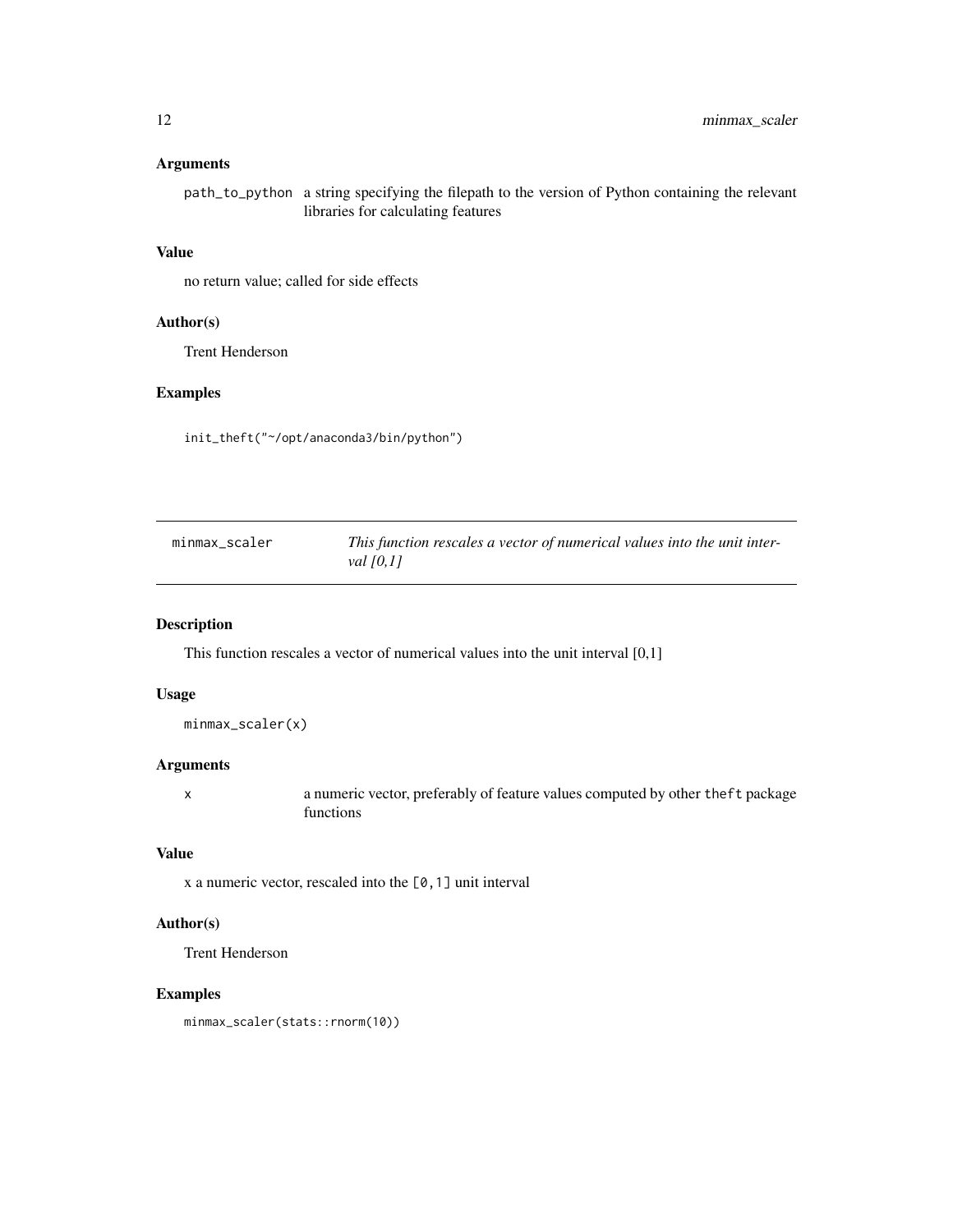# <span id="page-11-0"></span>Arguments

path\_to\_python a string specifying the filepath to the version of Python containing the relevant libraries for calculating features

#### Value

no return value; called for side effects

### Author(s)

Trent Henderson

# Examples

init\_theft("~/opt/anaconda3/bin/python")

| minmax scaler | This function rescales a vector of numerical values into the unit inter- |
|---------------|--------------------------------------------------------------------------|
|               | val $[0,1]$                                                              |

#### Description

This function rescales a vector of numerical values into the unit interval [0,1]

# Usage

minmax\_scaler(x)

#### Arguments

x a numeric vector, preferably of feature values computed by other theft package functions

#### Value

x a numeric vector, rescaled into the  $[0,1]$  unit interval

# Author(s)

Trent Henderson

```
minmax_scaler(stats::rnorm(10))
```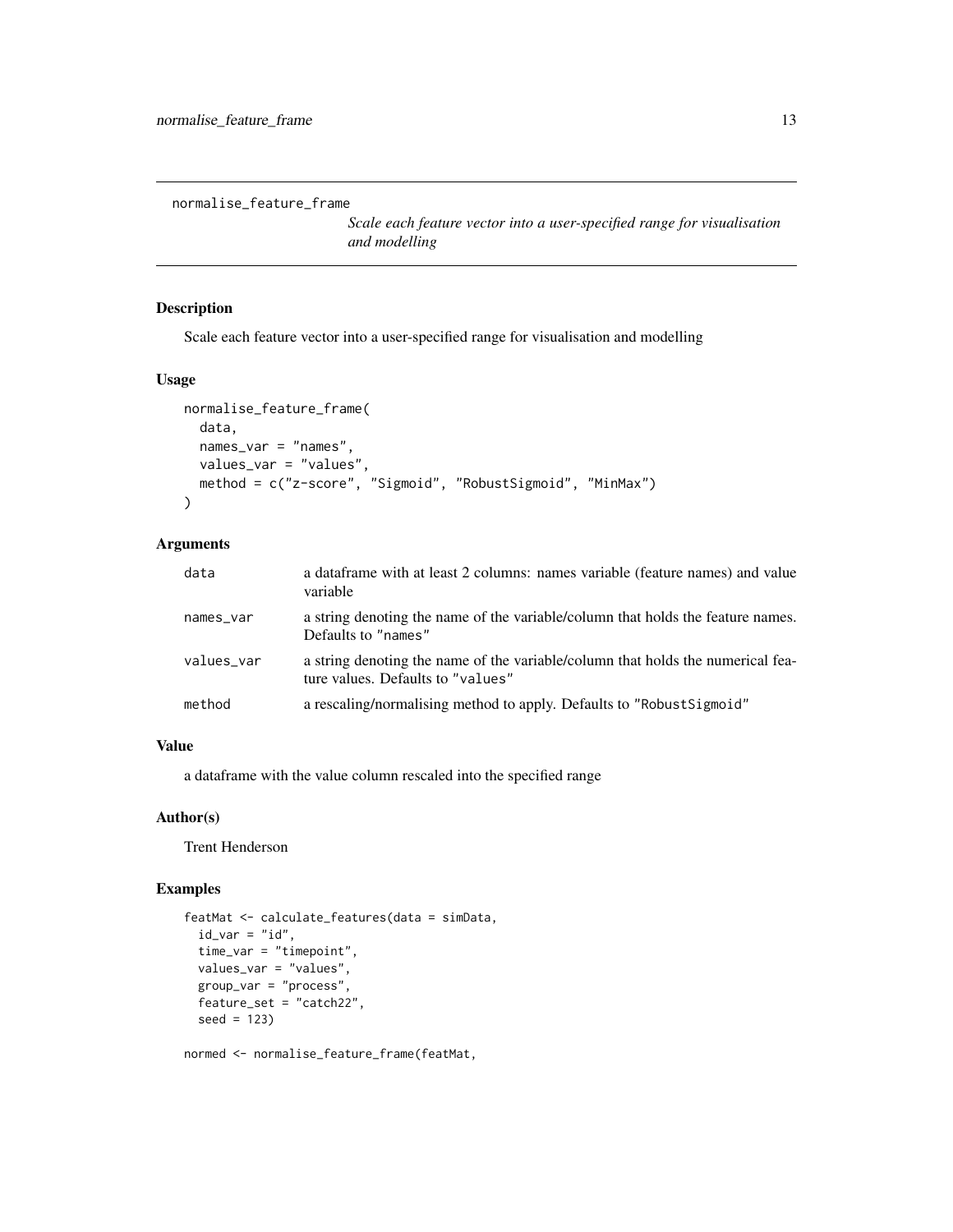<span id="page-12-0"></span>normalise\_feature\_frame

*Scale each feature vector into a user-specified range for visualisation and modelling*

# Description

Scale each feature vector into a user-specified range for visualisation and modelling

# Usage

```
normalise_feature_frame(
  data,
  names_var = "names",
 values_var = "values",
 method = c("z-score", "Sigmoid", "RobustSigmoid", "MinMax")
)
```
# Arguments

| data       | a dataframe with at least 2 columns: names variable (feature names) and value<br>variable                            |
|------------|----------------------------------------------------------------------------------------------------------------------|
| names_var  | a string denoting the name of the variable/column that holds the feature names.<br>Defaults to "names"               |
| values var | a string denoting the name of the variable/column that holds the numerical fea-<br>ture values. Defaults to "values" |
| method     | a rescaling/normalising method to apply. Defaults to "Robust Sigmoid"                                                |

### Value

a dataframe with the value column rescaled into the specified range

#### Author(s)

Trent Henderson

# Examples

```
featMat <- calculate_features(data = simData,
  id\_var = "id",time_var = "timepoint",
  values_var = "values",
  group_var = "process",
  feature_set = "catch22",
  seed = 123)
```
normed <- normalise\_feature\_frame(featMat,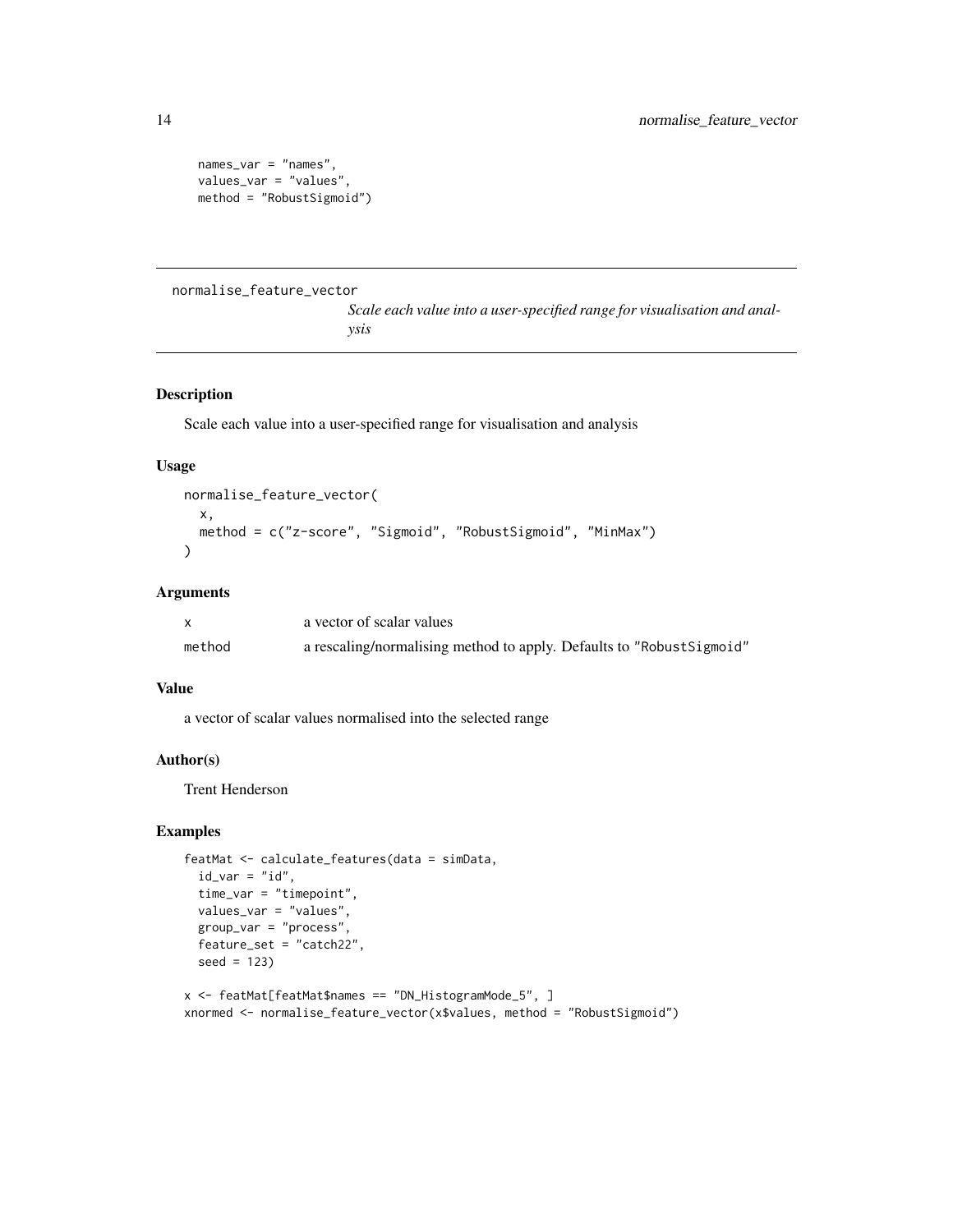```
names_var = "names",
values_var = "values",
method = "RobustSigmoid")
```
normalise\_feature\_vector

*Scale each value into a user-specified range for visualisation and analysis*

# Description

Scale each value into a user-specified range for visualisation and analysis

#### Usage

```
normalise_feature_vector(
  x,
 method = c("z-score", "Sigmoid", "RobustSigmoid", "MinMax")
\lambda
```
# Arguments

|        | a vector of scalar values                                             |
|--------|-----------------------------------------------------------------------|
| method | a rescaling/normalising method to apply. Defaults to "Robust Sigmoid" |

#### Value

a vector of scalar values normalised into the selected range

# Author(s)

Trent Henderson

```
featMat <- calculate_features(data = simData,
  id\_var = "id",time_var = "timepoint",
  values_var = "values",
  group_var = "process",
  feature_set = "catch22",
  seed = 123x <- featMat[featMat$names == "DN_HistogramMode_5", ]
```

```
xnormed <- normalise_feature_vector(x$values, method = "RobustSigmoid")
```
<span id="page-13-0"></span>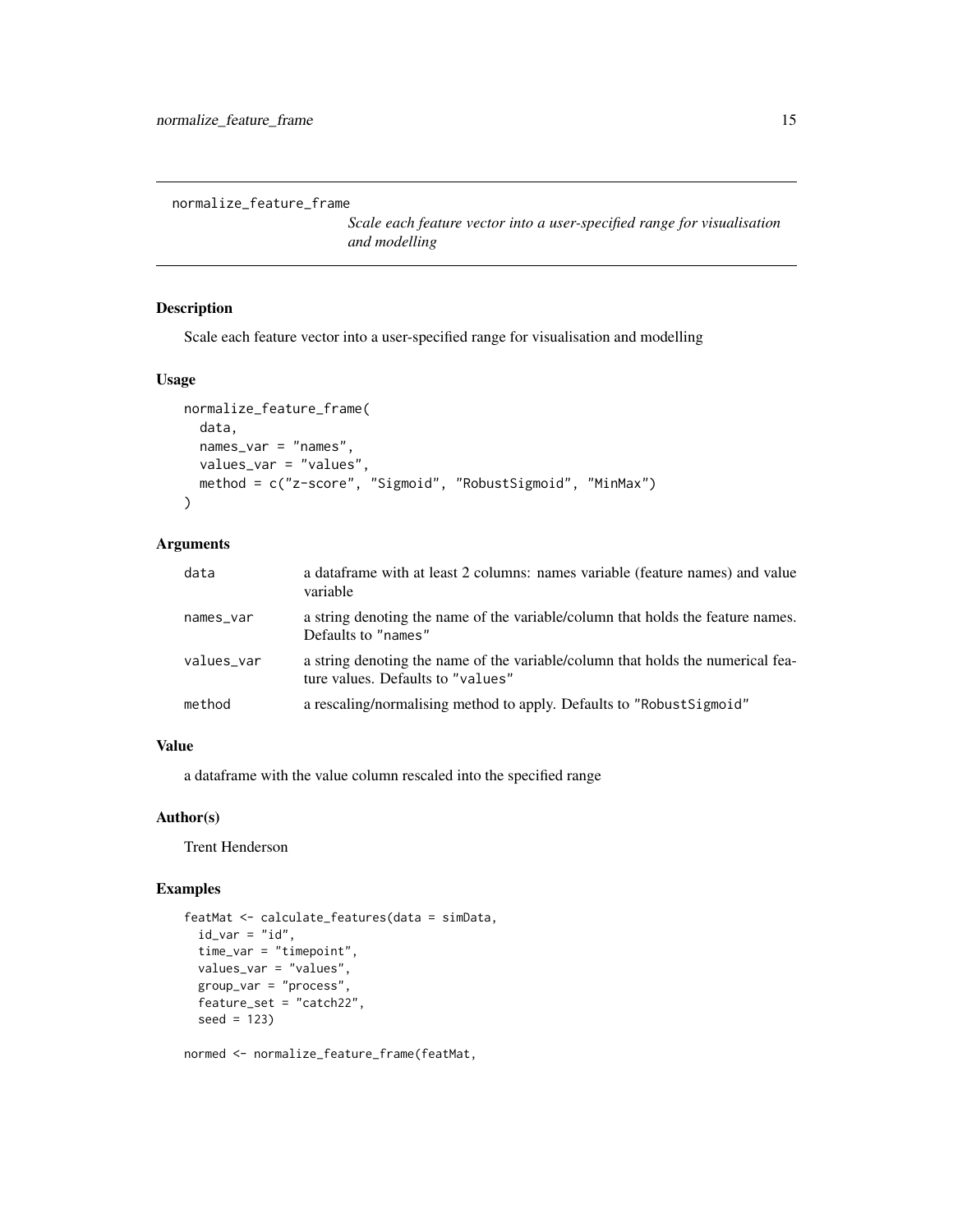<span id="page-14-0"></span>normalize\_feature\_frame

*Scale each feature vector into a user-specified range for visualisation and modelling*

# Description

Scale each feature vector into a user-specified range for visualisation and modelling

# Usage

```
normalize_feature_frame(
  data,
  names_var = "names",
 values_var = "values",
 method = c("z-score", "Sigmoid", "RobustSigmoid", "MinMax")
)
```
# Arguments

| data       | a dataframe with at least 2 columns: names variable (feature names) and value<br>variable                            |
|------------|----------------------------------------------------------------------------------------------------------------------|
| names_var  | a string denoting the name of the variable/column that holds the feature names.<br>Defaults to "names"               |
| values var | a string denoting the name of the variable/column that holds the numerical fea-<br>ture values. Defaults to "values" |
| method     | a rescaling/normalising method to apply. Defaults to "Robust Sigmoid"                                                |

### Value

a dataframe with the value column rescaled into the specified range

#### Author(s)

Trent Henderson

# Examples

```
featMat <- calculate_features(data = simData,
  id\_var = "id",time_var = "timepoint",
  values_var = "values",
  group_var = "process",
  feature_set = "catch22",
  seed = 123)
```
normed <- normalize\_feature\_frame(featMat,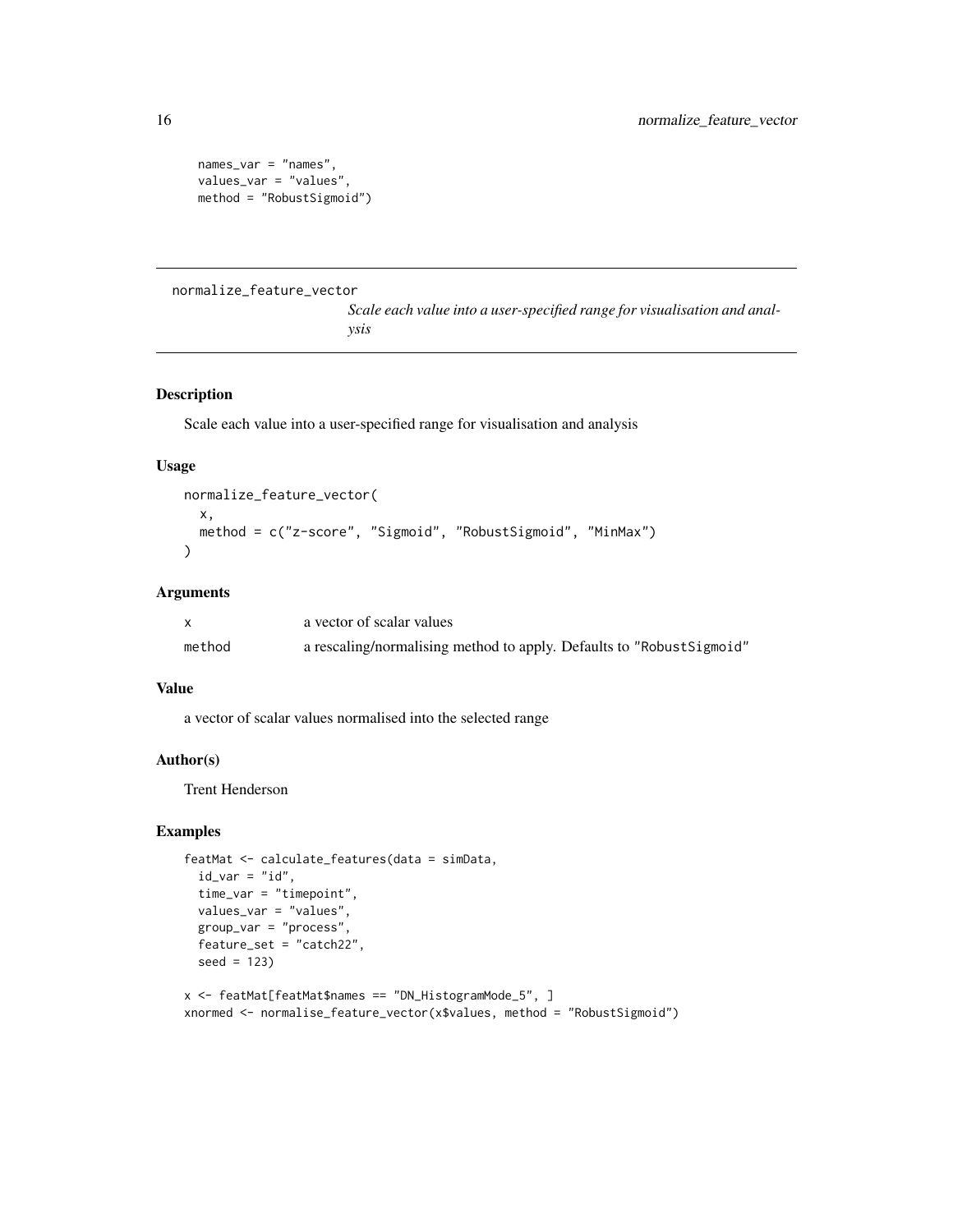```
names_var = "names",
values_var = "values",
method = "RobustSigmoid")
```
normalize\_feature\_vector

*Scale each value into a user-specified range for visualisation and analysis*

# Description

Scale each value into a user-specified range for visualisation and analysis

#### Usage

```
normalize_feature_vector(
  x,
 method = c("z-score", "Sigmoid", "RobustSigmoid", "MinMax")
\lambda
```
# Arguments

|        | a vector of scalar values                                             |
|--------|-----------------------------------------------------------------------|
| method | a rescaling/normalising method to apply. Defaults to "Robust Sigmoid" |

#### Value

a vector of scalar values normalised into the selected range

# Author(s)

Trent Henderson

```
featMat <- calculate_features(data = simData,
  id\_var = "id",time_var = "timepoint",
  values_var = "values",
  group_var = "process",
  feature_set = "catch22",
  seed = 123x <- featMat[featMat$names == "DN_HistogramMode_5", ]
```

```
xnormed <- normalise_feature_vector(x$values, method = "RobustSigmoid")
```
<span id="page-15-0"></span>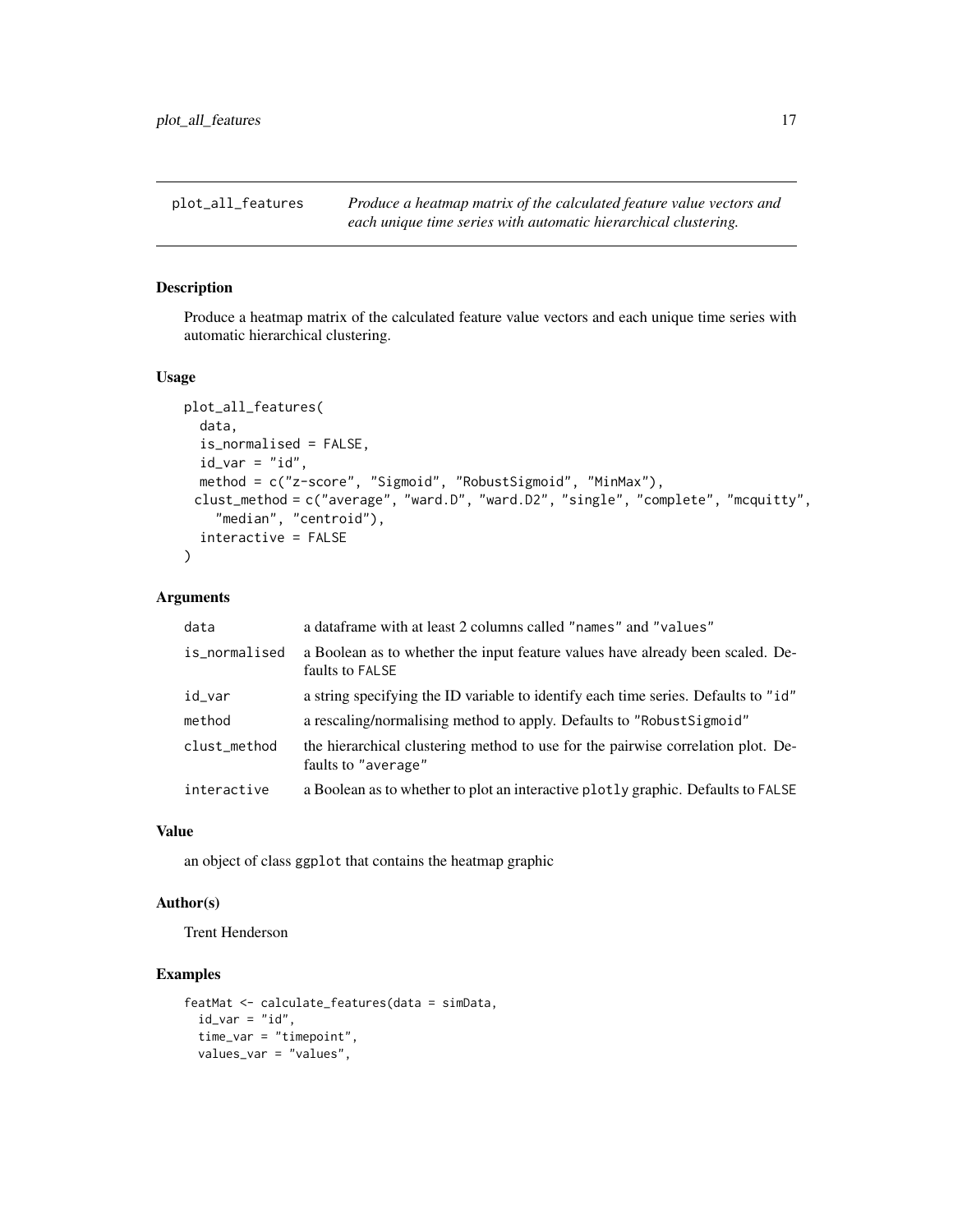<span id="page-16-0"></span>plot\_all\_features *Produce a heatmap matrix of the calculated feature value vectors and each unique time series with automatic hierarchical clustering.*

#### Description

Produce a heatmap matrix of the calculated feature value vectors and each unique time series with automatic hierarchical clustering.

# Usage

```
plot_all_features(
  data,
  is_normalised = FALSE,
  id\_var = "id",method = c("z-score", "Sigmoid", "RobustSigmoid", "MinMax"),
 clust_method = c("average", "ward.D", "ward.D2", "single", "complete", "mcquitty",
    "median", "centroid"),
  interactive = FALSE
)
```
#### Arguments

| data          | a dataframe with at least 2 columns called "names" and "values"                                         |
|---------------|---------------------------------------------------------------------------------------------------------|
| is_normalised | a Boolean as to whether the input feature values have already been scaled. De-<br>faults to FALSE       |
| id_var        | a string specifying the ID variable to identify each time series. Defaults to "id"                      |
| method        | a rescaling/normalising method to apply. Defaults to "Robust Sigmoid"                                   |
| clust_method  | the hierarchical clustering method to use for the pairwise correlation plot. De-<br>faults to "average" |
| interactive   | a Boolean as to whether to plot an interactive plotly graphic. Defaults to FALSE                        |

# Value

an object of class ggplot that contains the heatmap graphic

#### Author(s)

Trent Henderson

```
featMat <- calculate_features(data = simData,
  id\_var = "id",time_var = "timepoint",
  values_var = "values",
```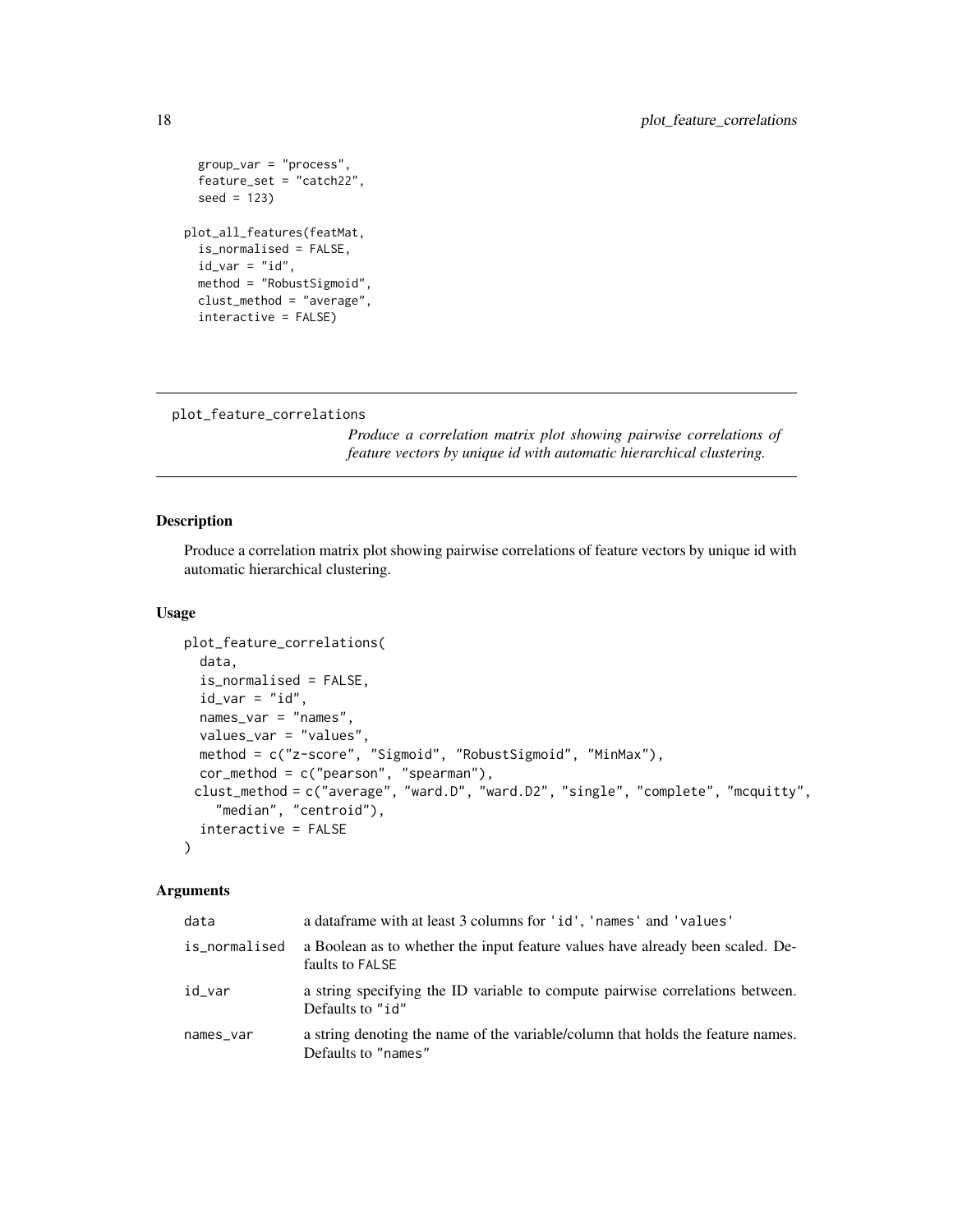```
group_var = "process",
 feature_set = "catch22",
 seed = 123)
plot_all_features(featMat,
 is_normalised = FALSE,
 id\_var = "id",method = "RobustSigmoid",
 clust_method = "average",
 interactive = FALSE)
```

```
plot_feature_correlations
```
*Produce a correlation matrix plot showing pairwise correlations of feature vectors by unique id with automatic hierarchical clustering.*

# Description

Produce a correlation matrix plot showing pairwise correlations of feature vectors by unique id with automatic hierarchical clustering.

#### Usage

```
plot_feature_correlations(
  data,
  is_normalised = FALSE,
  id\_var = "id",names_var = "names",
  values_var = "values",
 method = c("z-score", "Sigmoid", "RobustSigmoid", "MinMax"),
  cor_method = c("pearson", "spearman"),
 clust_method = c("average", "ward.D", "ward.D2", "single", "complete", "mcquitty",
    "median", "centroid"),
  interactive = FALSE
)
```
#### Arguments

| data          | a data frame with at least 3 columns for 'id', 'names' and 'values'                                    |
|---------------|--------------------------------------------------------------------------------------------------------|
| is_normalised | a Boolean as to whether the input feature values have already been scaled. De-<br>faults to FALSE      |
| id_var        | a string specifying the ID variable to compute pairwise correlations between.<br>Defaults to "id"      |
| names_var     | a string denoting the name of the variable/column that holds the feature names.<br>Defaults to "names" |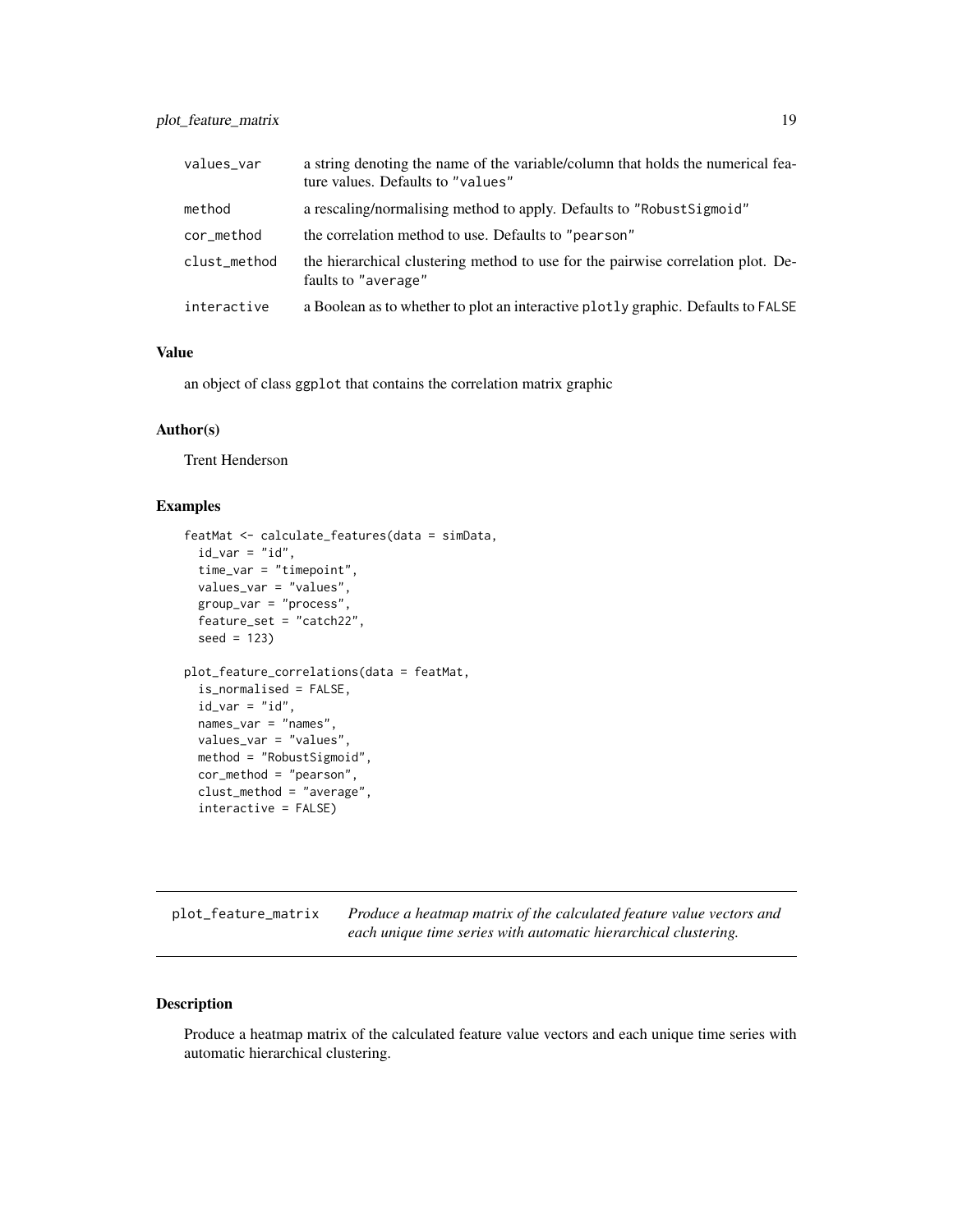<span id="page-18-0"></span>

| values_var   | a string denoting the name of the variable/column that holds the numerical fea-<br>ture values. Defaults to "values" |
|--------------|----------------------------------------------------------------------------------------------------------------------|
| method       | a rescaling/normalising method to apply. Defaults to "Robust Sigmoid"                                                |
| cor_method   | the correlation method to use. Defaults to "pearson"                                                                 |
| clust_method | the hierarchical clustering method to use for the pairwise correlation plot. De-<br>faults to "average"              |
| interactive  | a Boolean as to whether to plot an interactive plotly graphic. Defaults to FALSE                                     |

an object of class ggplot that contains the correlation matrix graphic

### Author(s)

Trent Henderson

# Examples

```
featMat <- calculate_features(data = simData,
 id\_var = "id",time_var = "timepoint",
 values_var = "values",
 group_var = "process",
 feature_set = "catch22",
 seed = 123)
plot_feature_correlations(data = featMat,
 is_normalised = FALSE,
 id\_var = "id",names_var = "names",
 values_var = "values",
 method = "RobustSigmoid",
 cor_method = "pearson",
 clust_method = "average",
 interactive = FALSE)
```
plot\_feature\_matrix *Produce a heatmap matrix of the calculated feature value vectors and each unique time series with automatic hierarchical clustering.*

# Description

Produce a heatmap matrix of the calculated feature value vectors and each unique time series with automatic hierarchical clustering.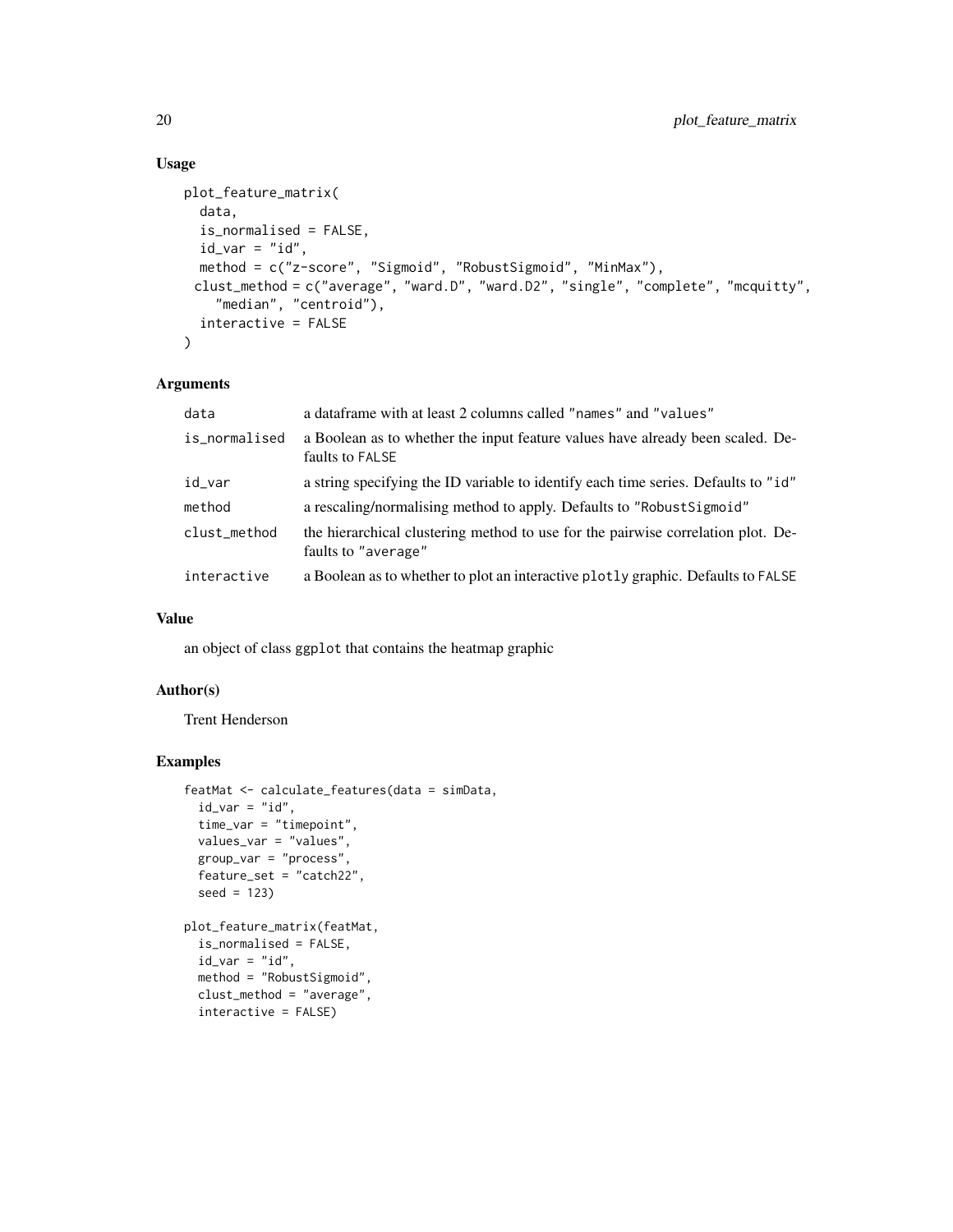# Usage

```
plot_feature_matrix(
  data,
  is_normalised = FALSE,
  id\_var = "id",method = c("z-score", "Sigmoid", "RobustSigmoid", "MinMax"),
 clust_method = c("average", "ward.D", "ward.D2", "single", "complete", "mcquitty",
    "median", "centroid"),
  interactive = FALSE
\lambda
```
# Arguments

| data          | a data frame with at least 2 columns called "names" and "values"                                        |
|---------------|---------------------------------------------------------------------------------------------------------|
| is_normalised | a Boolean as to whether the input feature values have already been scaled. De-<br>faults to FALSE       |
| id_var        | a string specifying the ID variable to identify each time series. Defaults to "id"                      |
| method        | a rescaling/normalising method to apply. Defaults to "Robust Sigmoid"                                   |
| clust_method  | the hierarchical clustering method to use for the pairwise correlation plot. De-<br>faults to "average" |
| interactive   | a Boolean as to whether to plot an interactive plotly graphic. Defaults to FALSE                        |

#### Value

an object of class ggplot that contains the heatmap graphic

#### Author(s)

Trent Henderson

```
featMat <- calculate_features(data = simData,
 id\_var = "id",time_var = "timepoint",
 values_var = "values",
  group_var = "process",
  feature_set = "catch22",
  seed = 123)
plot_feature_matrix(featMat,
  is_normalised = FALSE,
  id\_var = "id",method = "RobustSigmoid",
  clust_method = "average",
  interactive = FALSE)
```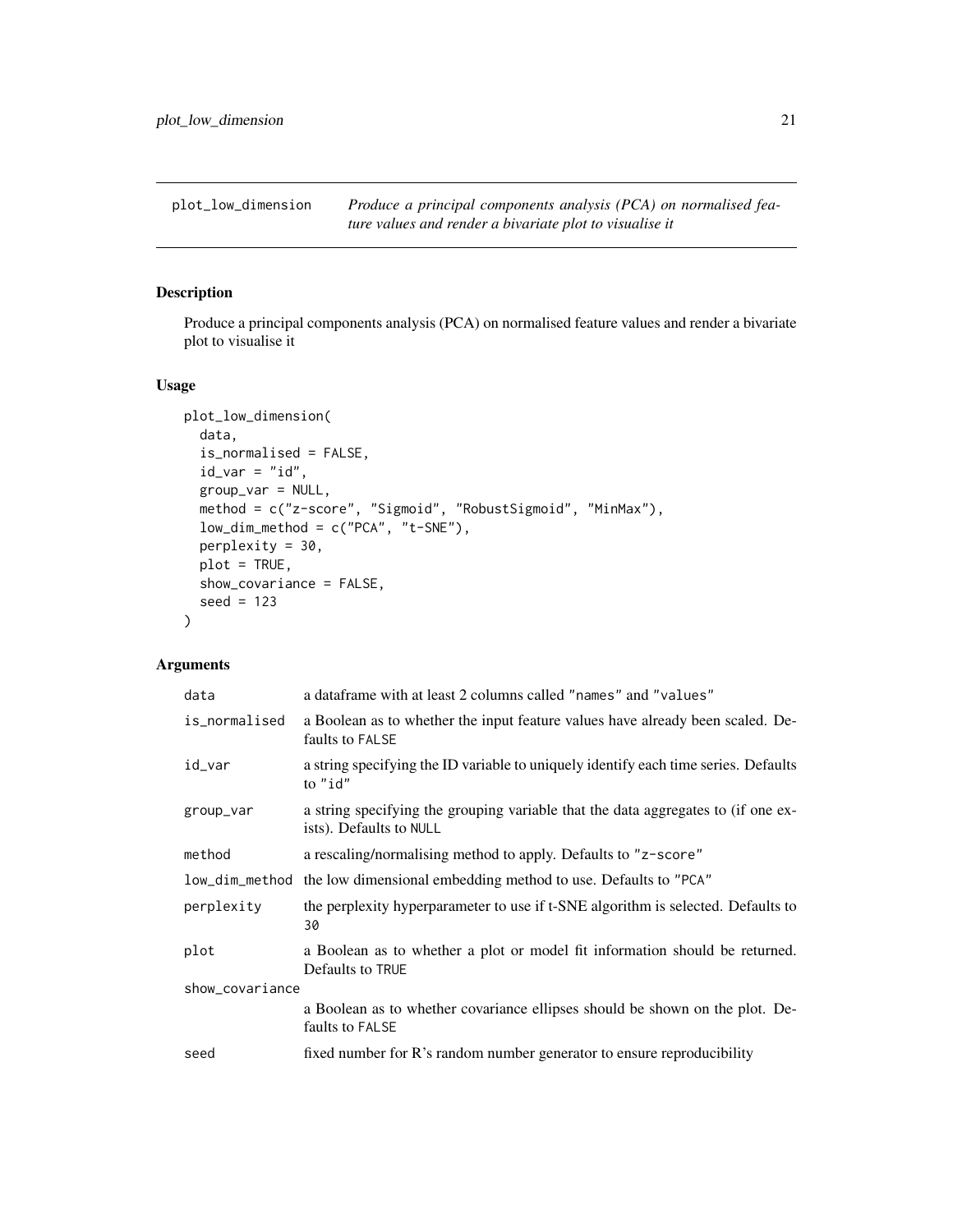<span id="page-20-0"></span>

# Description

Produce a principal components analysis (PCA) on normalised feature values and render a bivariate plot to visualise it

#### Usage

```
plot_low_dimension(
  data,
  is_normalised = FALSE,
  id\_var = "id",group_var = NULL,
 method = c("z-score", "Sigmoid", "RobustSigmoid", "MinMax"),
  low\_dim\_method = c("PCA", "t-SNE"),perplexity = 30,
 plot = TRUE,
  show_covariance = FALSE,
  seed = 123
)
```
#### Arguments

| data            | a dataframe with at least 2 columns called "names" and "values"                                              |  |
|-----------------|--------------------------------------------------------------------------------------------------------------|--|
| is_normalised   | a Boolean as to whether the input feature values have already been scaled. De-<br>faults to FALSE            |  |
| id_var          | a string specifying the ID variable to uniquely identify each time series. Defaults<br>to "id"               |  |
| group_var       | a string specifying the grouping variable that the data aggregates to (if one ex-<br>ists). Defaults to NULL |  |
| method          | a rescaling/normalising method to apply. Defaults to "z-score"                                               |  |
|                 | low_dim_method the low dimensional embedding method to use. Defaults to "PCA"                                |  |
| perplexity      | the perplexity hyperparameter to use if t-SNE algorithm is selected. Defaults to<br>30                       |  |
| plot            | a Boolean as to whether a plot or model fit information should be returned.<br>Defaults to TRUE              |  |
| show_covariance |                                                                                                              |  |
|                 | a Boolean as to whether covariance ellipses should be shown on the plot. De-<br>faults to FALSE              |  |
| seed            | fixed number for R's random number generator to ensure reproducibility                                       |  |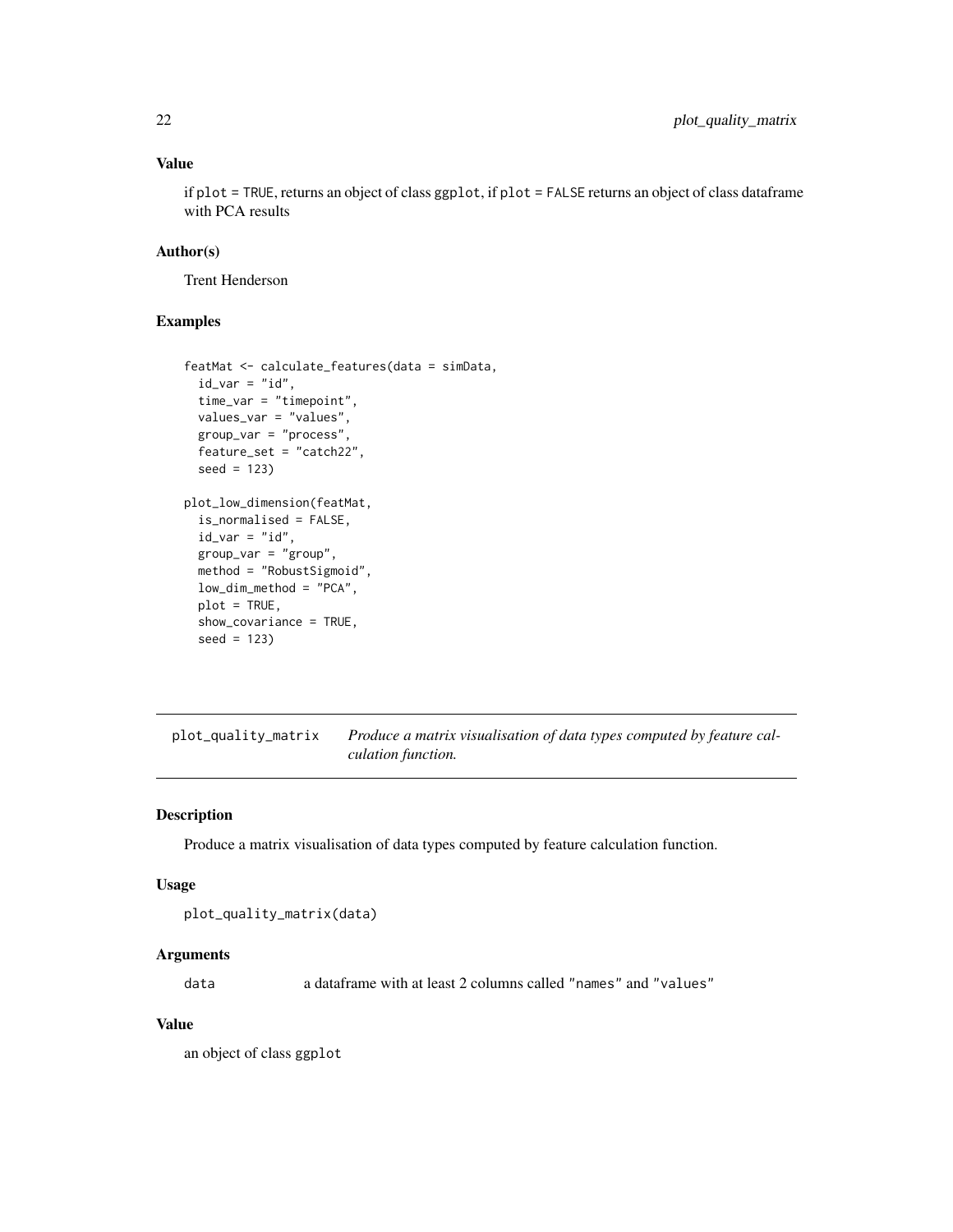<span id="page-21-0"></span>if plot = TRUE, returns an object of class ggplot, if plot = FALSE returns an object of class dataframe with PCA results

# Author(s)

Trent Henderson

# Examples

```
featMat <- calculate_features(data = simData,
 id\_var = "id",time_var = "timepoint",
 values_var = "values",
 group_var = "process",
 feature_set = "catch22",
 seed = 123)
plot_low_dimension(featMat,
 is_normalised = FALSE,
 id\_var = "id",group\_var = "group",method = "RobustSigmoid",
 low_dim_method = "PCA",
 plot = TRUE,
 show_covariance = TRUE,
 seed = 123)
```
plot\_quality\_matrix *Produce a matrix visualisation of data types computed by feature calculation function.*

#### Description

Produce a matrix visualisation of data types computed by feature calculation function.

#### Usage

```
plot_quality_matrix(data)
```
#### Arguments

data a dataframe with at least 2 columns called "names" and "values"

#### Value

an object of class ggplot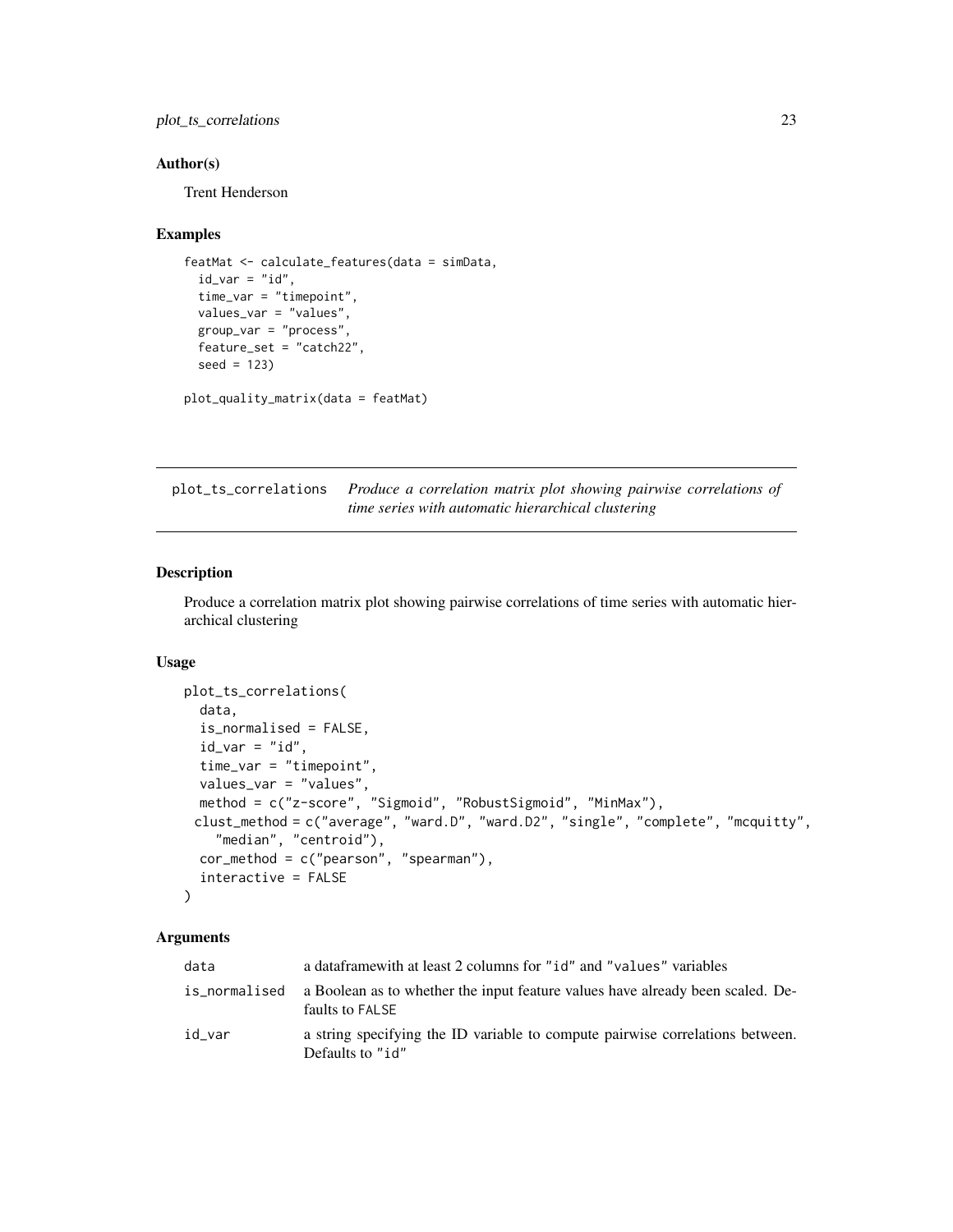<span id="page-22-0"></span>plot\_ts\_correlations 23

#### Author(s)

Trent Henderson

#### Examples

```
featMat <- calculate_features(data = simData,
  id\_var = "id",time_var = "timepoint",
  values_var = "values",
  group_var = "process",
  feature_set = "catch22",
  seed = 123plot_quality_matrix(data = featMat)
```
plot\_ts\_correlations *Produce a correlation matrix plot showing pairwise correlations of time series with automatic hierarchical clustering*

#### Description

Produce a correlation matrix plot showing pairwise correlations of time series with automatic hierarchical clustering

#### Usage

```
plot_ts_correlations(
  data,
  is_normalised = FALSE,
  id\_var = "id",time_var = "timepoint",
  values_var = "values",
  method = c("z-score", "Sigmoid", "RobustSigmoid", "MinMax"),
 clust_method = c("average", "ward.D", "ward.D2", "single", "complete", "mcquitty",
    "median", "centroid"),
  cor_method = c("pearson", "spearman"),
  interactive = FALSE
)
```
#### Arguments

| data          | a dataframe with at least 2 columns for "id" and "values" variables                               |
|---------------|---------------------------------------------------------------------------------------------------|
| is_normalised | a Boolean as to whether the input feature values have already been scaled. De-<br>faults to FALSE |
| id var        | a string specifying the ID variable to compute pairwise correlations between.<br>Defaults to "id" |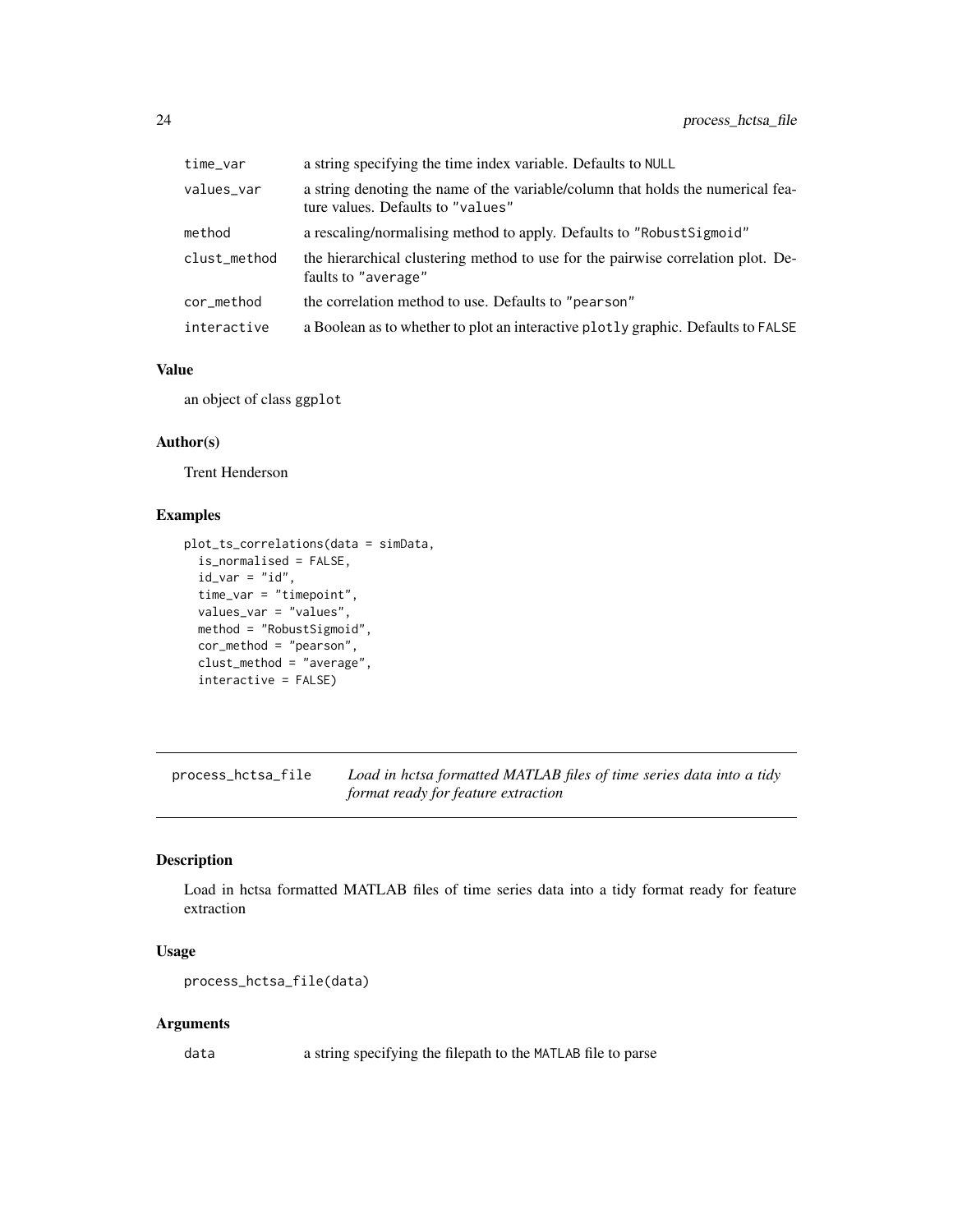<span id="page-23-0"></span>

| time_var     | a string specifying the time index variable. Defaults to NULL                                                        |
|--------------|----------------------------------------------------------------------------------------------------------------------|
| values_var   | a string denoting the name of the variable/column that holds the numerical fea-<br>ture values. Defaults to "values" |
| method       | a rescaling/normalising method to apply. Defaults to "Robust Sigmoid"                                                |
| clust_method | the hierarchical clustering method to use for the pairwise correlation plot. De-<br>faults to "average"              |
| cor_method   | the correlation method to use. Defaults to "pearson"                                                                 |
| interactive  | a Boolean as to whether to plot an interactive plotly graphic. Defaults to FALSE                                     |

an object of class ggplot

#### Author(s)

Trent Henderson

### Examples

```
plot_ts_correlations(data = simData,
 is_normalised = FALSE,
  id\_var = "id",time_var = "timepoint",
 values_var = "values",
 method = "RobustSigmoid",
  cor_method = "pearson",
  clust_method = "average",
  interactive = FALSE)
```
process\_hctsa\_file *Load in hctsa formatted MATLAB files of time series data into a tidy format ready for feature extraction*

# Description

Load in hctsa formatted MATLAB files of time series data into a tidy format ready for feature extraction

# Usage

```
process_hctsa_file(data)
```
#### Arguments

data a string specifying the filepath to the MATLAB file to parse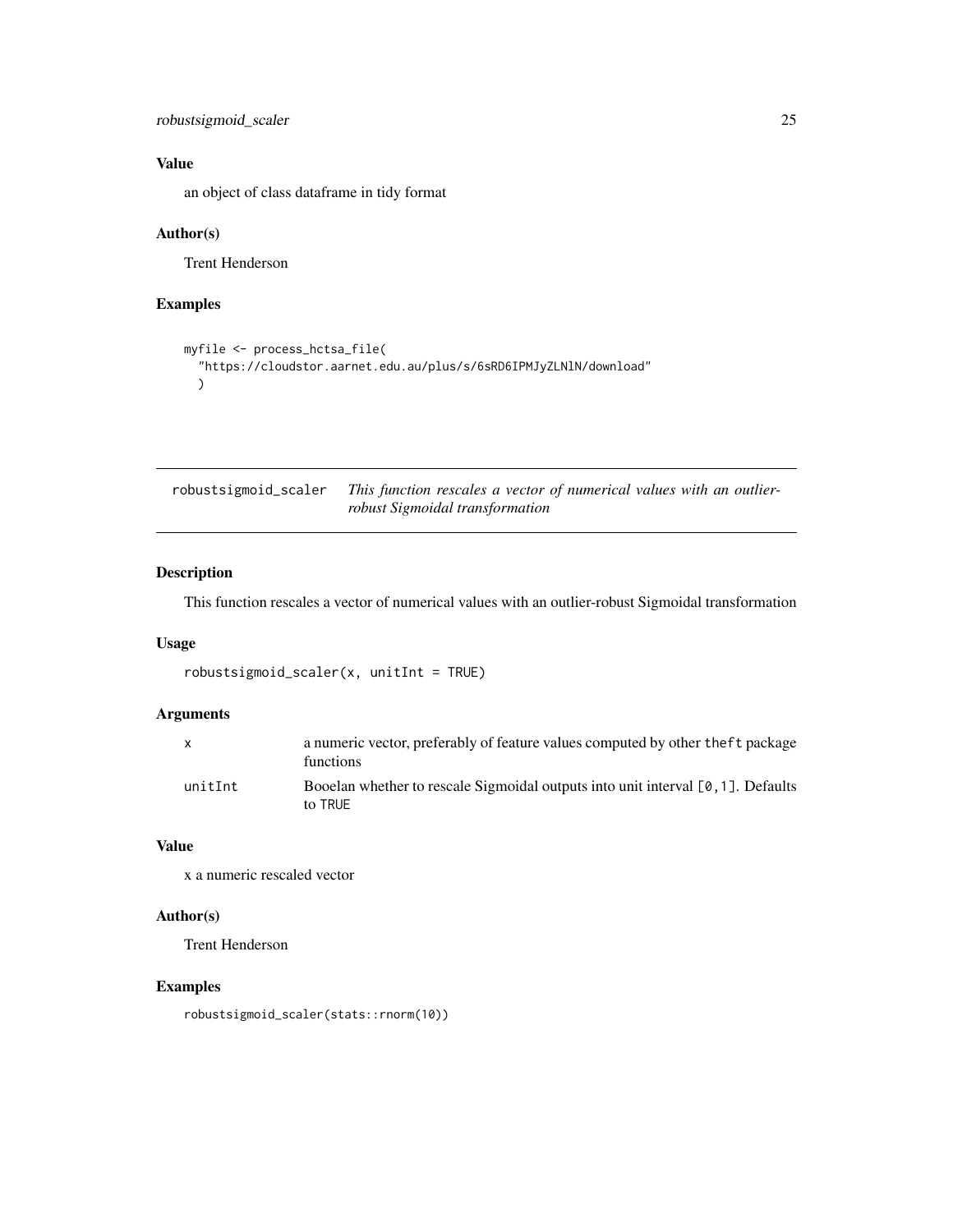```
robustsigmoid_scaler 25
```
an object of class dataframe in tidy format

# Author(s)

Trent Henderson

# Examples

```
myfile <- process_hctsa_file(
  "https://cloudstor.aarnet.edu.au/plus/s/6sRD6IPMJyZLNlN/download"
  \lambda
```

| robustsigmoid_scaler | This function rescales a vector of numerical values with an outlier- |
|----------------------|----------------------------------------------------------------------|
|                      | robust Sigmoidal transformation                                      |

# Description

This function rescales a vector of numerical values with an outlier-robust Sigmoidal transformation

#### Usage

```
robustsigmoid_scaler(x, unitInt = TRUE)
```
#### Arguments

| X       | a numeric vector, preferably of feature values computed by other the ft package<br>functions   |
|---------|------------------------------------------------------------------------------------------------|
| unitInt | Booelan whether to rescale Sigmoidal outputs into unit interval $[0, 1]$ . Defaults<br>to TRUE |

#### Value

x a numeric rescaled vector

# Author(s)

Trent Henderson

# Examples

robustsigmoid\_scaler(stats::rnorm(10))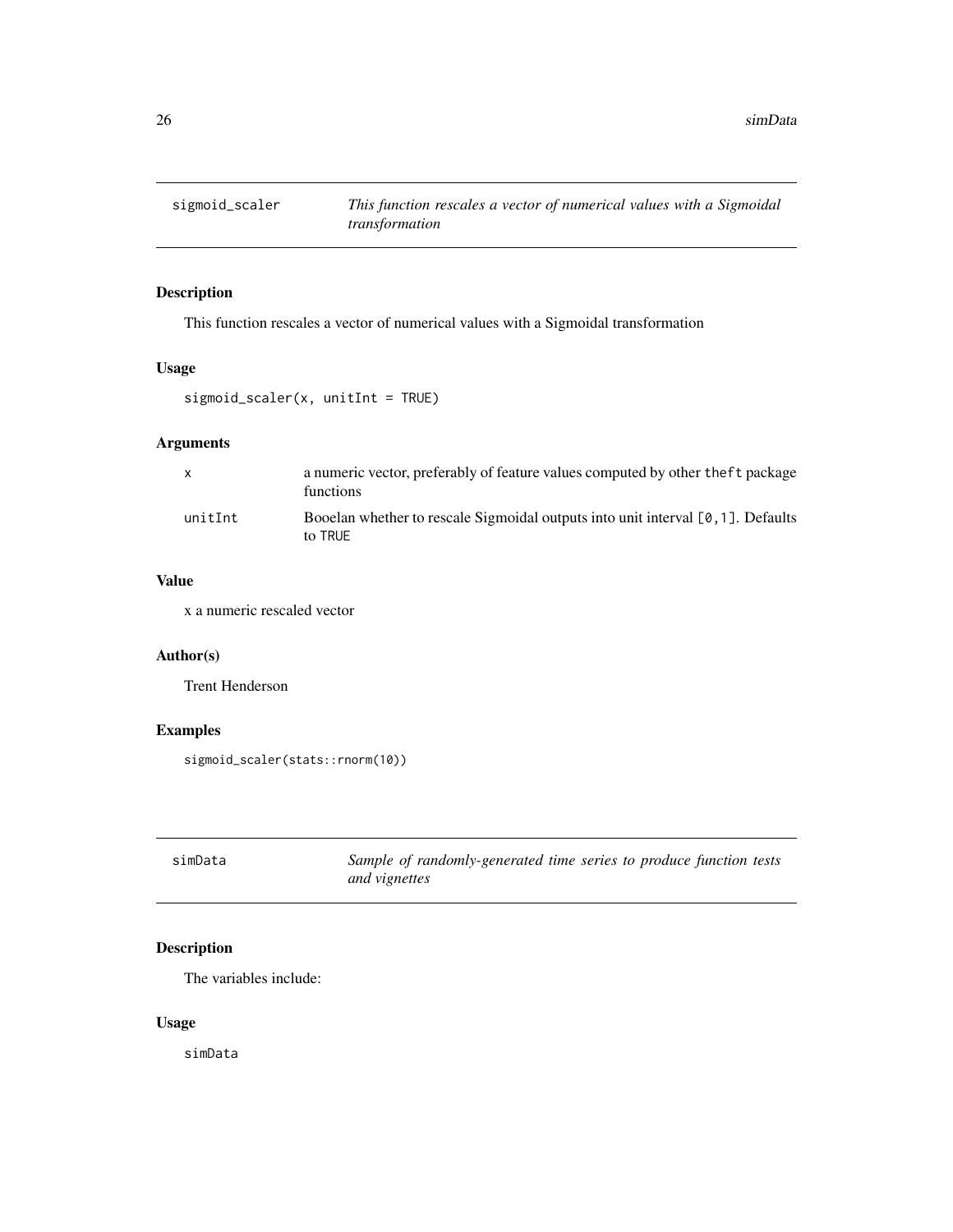<span id="page-25-0"></span>

# Description

This function rescales a vector of numerical values with a Sigmoidal transformation

# Usage

```
sigmoid_scaler(x, unitInt = TRUE)
```
# Arguments

| $\mathsf{x}$ | a numeric vector, preferably of feature values computed by other the ft package<br>functions   |
|--------------|------------------------------------------------------------------------------------------------|
| unitInt      | Booelan whether to rescale Sigmoidal outputs into unit interval $[0, 1]$ . Defaults<br>to TRUE |

#### Value

x a numeric rescaled vector

# Author(s)

Trent Henderson

# Examples

```
sigmoid_scaler(stats::rnorm(10))
```

| simData | Sample of randomly-generated time series to produce function tests |
|---------|--------------------------------------------------------------------|
|         | and vignettes                                                      |

# Description

The variables include:

# Usage

simData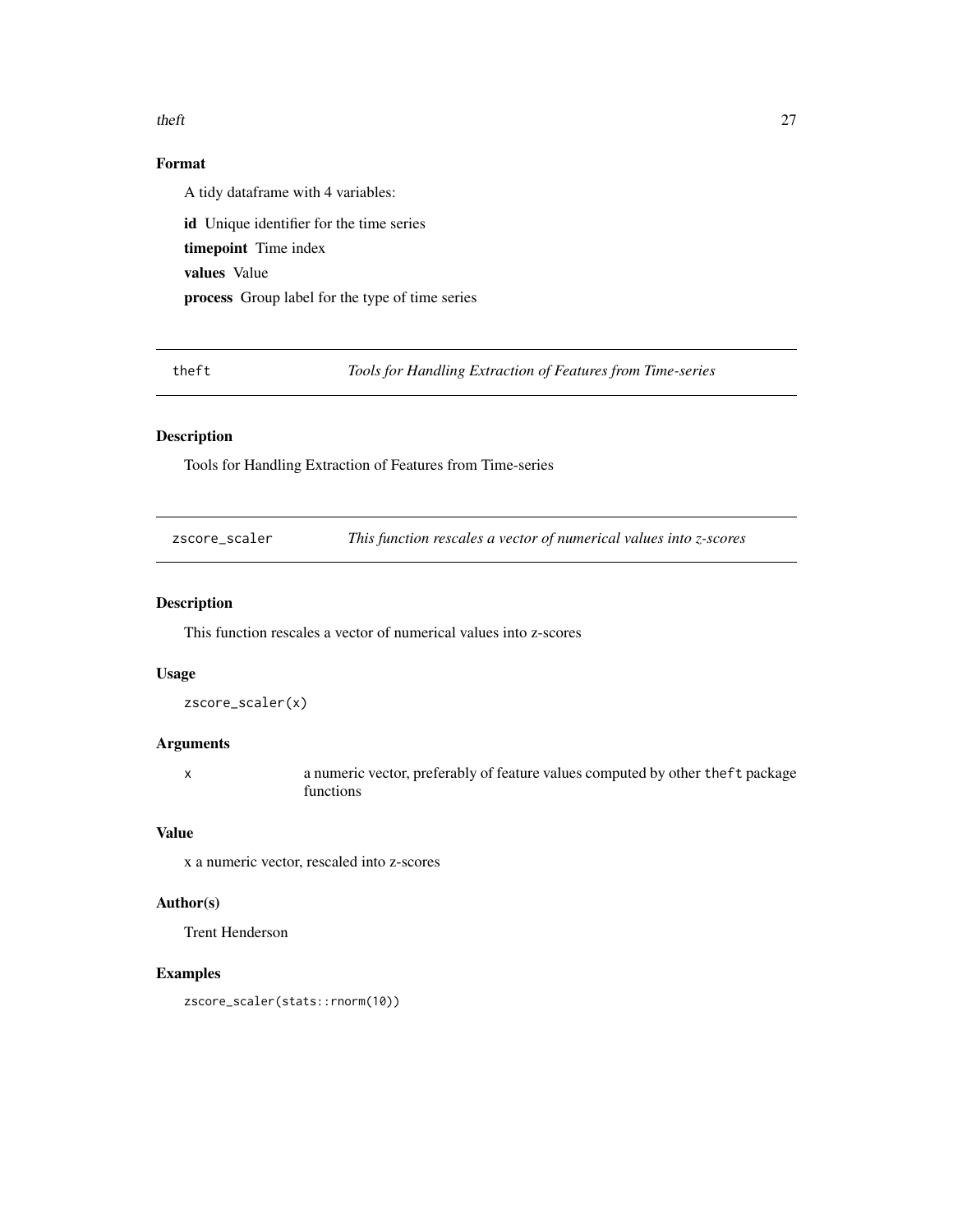#### <span id="page-26-0"></span> $t$ heft  $27$

# Format

A tidy dataframe with 4 variables:

id Unique identifier for the time series timepoint Time index values Value process Group label for the type of time series

theft *Tools for Handling Extraction of Features from Time-series*

# Description

Tools for Handling Extraction of Features from Time-series

zscore\_scaler *This function rescales a vector of numerical values into z-scores*

#### Description

This function rescales a vector of numerical values into z-scores

#### Usage

```
zscore_scaler(x)
```
#### Arguments

x a numeric vector, preferably of feature values computed by other theft package functions

# Value

x a numeric vector, rescaled into z-scores

#### Author(s)

Trent Henderson

#### Examples

zscore\_scaler(stats::rnorm(10))